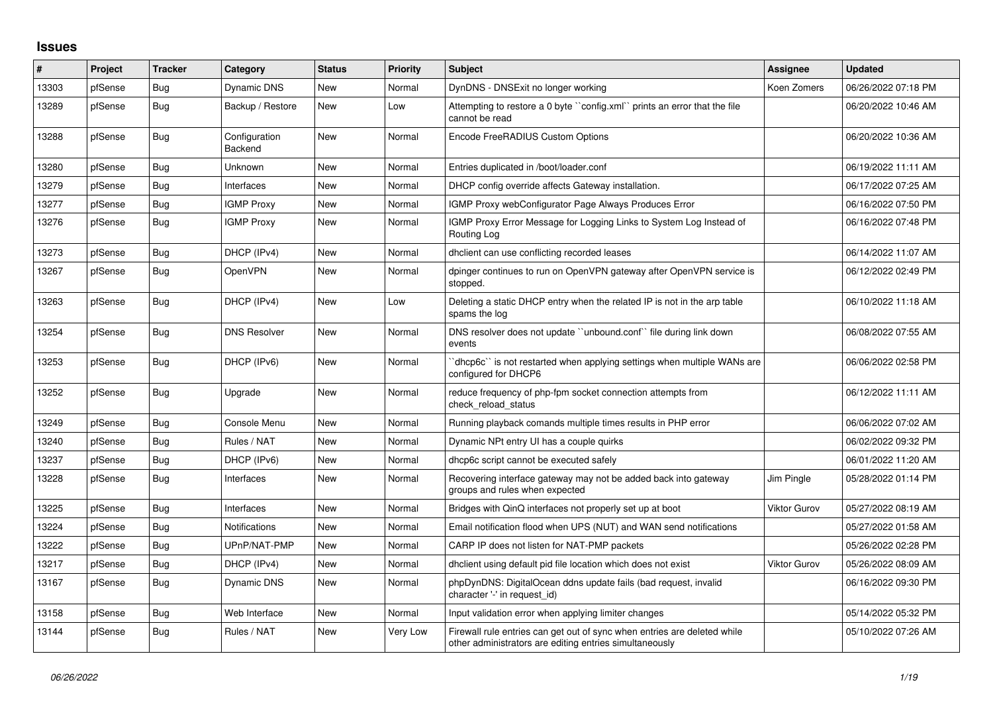## **Issues**

| #     | Project | <b>Tracker</b> | Category                 | <b>Status</b> | <b>Priority</b> | <b>Subject</b>                                                                                                                      | Assignee            | <b>Updated</b>      |
|-------|---------|----------------|--------------------------|---------------|-----------------|-------------------------------------------------------------------------------------------------------------------------------------|---------------------|---------------------|
| 13303 | pfSense | <b>Bug</b>     | Dynamic DNS              | <b>New</b>    | Normal          | DynDNS - DNSExit no longer working                                                                                                  | Koen Zomers         | 06/26/2022 07:18 PM |
| 13289 | pfSense | Bug            | Backup / Restore         | <b>New</b>    | Low             | Attempting to restore a 0 byte "config.xml" prints an error that the file<br>cannot be read                                         |                     | 06/20/2022 10:46 AM |
| 13288 | pfSense | Bug            | Configuration<br>Backend | <b>New</b>    | Normal          | Encode FreeRADIUS Custom Options                                                                                                    |                     | 06/20/2022 10:36 AM |
| 13280 | pfSense | Bug            | Unknown                  | New           | Normal          | Entries duplicated in /boot/loader.conf                                                                                             |                     | 06/19/2022 11:11 AM |
| 13279 | pfSense | Bug            | Interfaces               | New           | Normal          | DHCP config override affects Gateway installation.                                                                                  |                     | 06/17/2022 07:25 AM |
| 13277 | pfSense | <b>Bug</b>     | <b>IGMP Proxy</b>        | <b>New</b>    | Normal          | IGMP Proxy webConfigurator Page Always Produces Error                                                                               |                     | 06/16/2022 07:50 PM |
| 13276 | pfSense | Bug            | <b>IGMP Proxy</b>        | New           | Normal          | IGMP Proxy Error Message for Logging Links to System Log Instead of<br>Routing Log                                                  |                     | 06/16/2022 07:48 PM |
| 13273 | pfSense | <b>Bug</b>     | DHCP (IPv4)              | <b>New</b>    | Normal          | dhclient can use conflicting recorded leases                                                                                        |                     | 06/14/2022 11:07 AM |
| 13267 | pfSense | Bug            | <b>OpenVPN</b>           | New           | Normal          | dpinger continues to run on OpenVPN gateway after OpenVPN service is<br>stopped.                                                    |                     | 06/12/2022 02:49 PM |
| 13263 | pfSense | <b>Bug</b>     | DHCP (IPv4)              | <b>New</b>    | Low             | Deleting a static DHCP entry when the related IP is not in the arp table<br>spams the log                                           |                     | 06/10/2022 11:18 AM |
| 13254 | pfSense | Bug            | <b>DNS Resolver</b>      | <b>New</b>    | Normal          | DNS resolver does not update "unbound.conf" file during link down<br>events                                                         |                     | 06/08/2022 07:55 AM |
| 13253 | pfSense | Bug            | DHCP (IPv6)              | New           | Normal          | dhcp6c`` is not restarted when applying settings when multiple WANs are<br>configured for DHCP6                                     |                     | 06/06/2022 02:58 PM |
| 13252 | pfSense | <b>Bug</b>     | Upgrade                  | <b>New</b>    | Normal          | reduce frequency of php-fpm socket connection attempts from<br>check reload status                                                  |                     | 06/12/2022 11:11 AM |
| 13249 | pfSense | Bug            | Console Menu             | New           | Normal          | Running playback comands multiple times results in PHP error                                                                        |                     | 06/06/2022 07:02 AM |
| 13240 | pfSense | <b>Bug</b>     | Rules / NAT              | <b>New</b>    | Normal          | Dynamic NPt entry UI has a couple quirks                                                                                            |                     | 06/02/2022 09:32 PM |
| 13237 | pfSense | <b>Bug</b>     | DHCP (IPv6)              | <b>New</b>    | Normal          | dhcp6c script cannot be executed safely                                                                                             |                     | 06/01/2022 11:20 AM |
| 13228 | pfSense | <b>Bug</b>     | Interfaces               | New           | Normal          | Recovering interface gateway may not be added back into gateway<br>groups and rules when expected                                   | Jim Pingle          | 05/28/2022 01:14 PM |
| 13225 | pfSense | <b>Bug</b>     | Interfaces               | New           | Normal          | Bridges with QinQ interfaces not properly set up at boot                                                                            | Viktor Gurov        | 05/27/2022 08:19 AM |
| 13224 | pfSense | Bug            | Notifications            | <b>New</b>    | Normal          | Email notification flood when UPS (NUT) and WAN send notifications                                                                  |                     | 05/27/2022 01:58 AM |
| 13222 | pfSense | Bug            | UPnP/NAT-PMP             | <b>New</b>    | Normal          | CARP IP does not listen for NAT-PMP packets                                                                                         |                     | 05/26/2022 02:28 PM |
| 13217 | pfSense | <b>Bug</b>     | DHCP (IPv4)              | <b>New</b>    | Normal          | dhclient using default pid file location which does not exist                                                                       | <b>Viktor Gurov</b> | 05/26/2022 08:09 AM |
| 13167 | pfSense | Bug            | Dynamic DNS              | New           | Normal          | phpDynDNS: DigitalOcean ddns update fails (bad request, invalid<br>character '-' in request_id)                                     |                     | 06/16/2022 09:30 PM |
| 13158 | pfSense | Bug            | Web Interface            | <b>New</b>    | Normal          | Input validation error when applying limiter changes                                                                                |                     | 05/14/2022 05:32 PM |
| 13144 | pfSense | Bug            | Rules / NAT              | New           | Very Low        | Firewall rule entries can get out of sync when entries are deleted while<br>other administrators are editing entries simultaneously |                     | 05/10/2022 07:26 AM |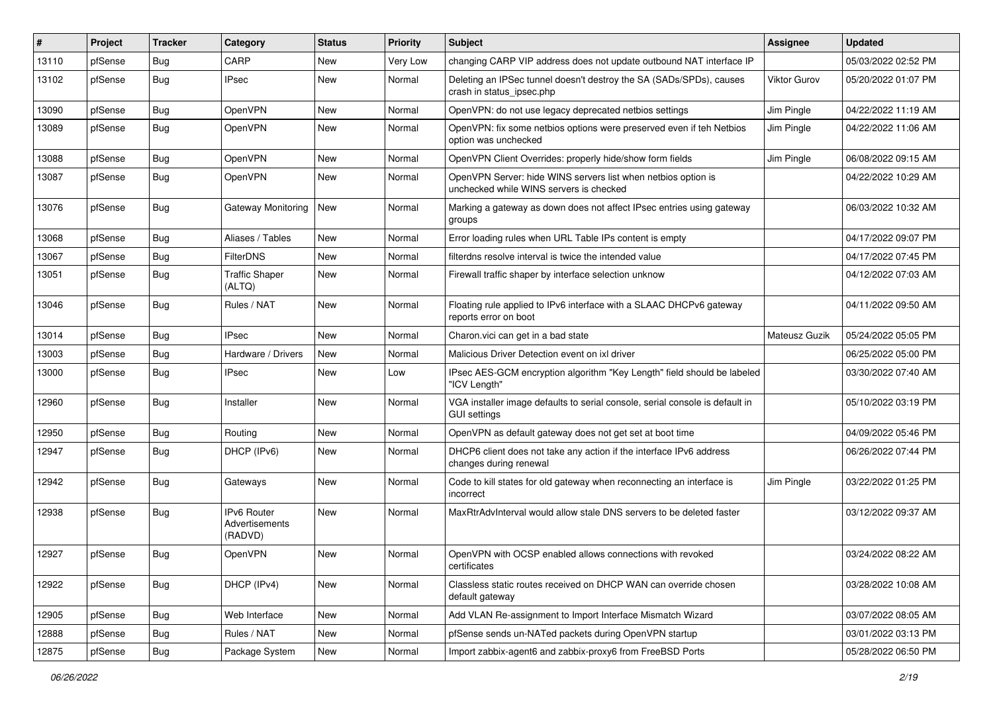| #     | Project | <b>Tracker</b> | Category                                 | <b>Status</b> | <b>Priority</b> | <b>Subject</b>                                                                                           | <b>Assignee</b> | <b>Updated</b>      |
|-------|---------|----------------|------------------------------------------|---------------|-----------------|----------------------------------------------------------------------------------------------------------|-----------------|---------------------|
| 13110 | pfSense | <b>Bug</b>     | CARP                                     | New           | Very Low        | changing CARP VIP address does not update outbound NAT interface IP                                      |                 | 05/03/2022 02:52 PM |
| 13102 | pfSense | Bug            | <b>IPsec</b>                             | New           | Normal          | Deleting an IPSec tunnel doesn't destroy the SA (SADs/SPDs), causes<br>crash in status_ipsec.php         | Viktor Gurov    | 05/20/2022 01:07 PM |
| 13090 | pfSense | <b>Bug</b>     | <b>OpenVPN</b>                           | New           | Normal          | OpenVPN: do not use legacy deprecated netbios settings                                                   | Jim Pingle      | 04/22/2022 11:19 AM |
| 13089 | pfSense | <b>Bug</b>     | OpenVPN                                  | New           | Normal          | OpenVPN: fix some netbios options were preserved even if teh Netbios<br>option was unchecked             | Jim Pingle      | 04/22/2022 11:06 AM |
| 13088 | pfSense | <b>Bug</b>     | OpenVPN                                  | New           | Normal          | OpenVPN Client Overrides: properly hide/show form fields                                                 | Jim Pingle      | 06/08/2022 09:15 AM |
| 13087 | pfSense | Bug            | OpenVPN                                  | New           | Normal          | OpenVPN Server: hide WINS servers list when netbios option is<br>unchecked while WINS servers is checked |                 | 04/22/2022 10:29 AM |
| 13076 | pfSense | <b>Bug</b>     | Gateway Monitoring                       | <b>New</b>    | Normal          | Marking a gateway as down does not affect IPsec entries using gateway<br>groups                          |                 | 06/03/2022 10:32 AM |
| 13068 | pfSense | <b>Bug</b>     | Aliases / Tables                         | New           | Normal          | Error loading rules when URL Table IPs content is empty                                                  |                 | 04/17/2022 09:07 PM |
| 13067 | pfSense | Bug            | <b>FilterDNS</b>                         | <b>New</b>    | Normal          | filterdns resolve interval is twice the intended value                                                   |                 | 04/17/2022 07:45 PM |
| 13051 | pfSense | <b>Bug</b>     | <b>Traffic Shaper</b><br>(ALTQ)          | New           | Normal          | Firewall traffic shaper by interface selection unknow                                                    |                 | 04/12/2022 07:03 AM |
| 13046 | pfSense | <b>Bug</b>     | Rules / NAT                              | New           | Normal          | Floating rule applied to IPv6 interface with a SLAAC DHCPv6 gateway<br>reports error on boot             |                 | 04/11/2022 09:50 AM |
| 13014 | pfSense | <b>Bug</b>     | <b>IPsec</b>                             | <b>New</b>    | Normal          | Charon.vici can get in a bad state                                                                       | Mateusz Guzik   | 05/24/2022 05:05 PM |
| 13003 | pfSense | <b>Bug</b>     | Hardware / Drivers                       | <b>New</b>    | Normal          | Malicious Driver Detection event on ixl driver                                                           |                 | 06/25/2022 05:00 PM |
| 13000 | pfSense | <b>Bug</b>     | IPsec                                    | New           | Low             | IPsec AES-GCM encryption algorithm "Key Length" field should be labeled<br>"ICV Length"                  |                 | 03/30/2022 07:40 AM |
| 12960 | pfSense | <b>Bug</b>     | Installer                                | <b>New</b>    | Normal          | VGA installer image defaults to serial console, serial console is default in<br><b>GUI settings</b>      |                 | 05/10/2022 03:19 PM |
| 12950 | pfSense | <b>Bug</b>     | Routing                                  | <b>New</b>    | Normal          | OpenVPN as default gateway does not get set at boot time                                                 |                 | 04/09/2022 05:46 PM |
| 12947 | pfSense | Bug            | DHCP (IPv6)                              | New           | Normal          | DHCP6 client does not take any action if the interface IPv6 address<br>changes during renewal            |                 | 06/26/2022 07:44 PM |
| 12942 | pfSense | <b>Bug</b>     | Gateways                                 | New           | Normal          | Code to kill states for old gateway when reconnecting an interface is<br>incorrect                       | Jim Pingle      | 03/22/2022 01:25 PM |
| 12938 | pfSense | Bug            | IPv6 Router<br>Advertisements<br>(RADVD) | New           | Normal          | MaxRtrAdvInterval would allow stale DNS servers to be deleted faster                                     |                 | 03/12/2022 09:37 AM |
| 12927 | pfSense | Bug            | OpenVPN                                  | New           | Normal          | OpenVPN with OCSP enabled allows connections with revoked<br>certificates                                |                 | 03/24/2022 08:22 AM |
| 12922 | pfSense | <b>Bug</b>     | DHCP (IPv4)                              | New           | Normal          | Classless static routes received on DHCP WAN can override chosen<br>default gateway                      |                 | 03/28/2022 10:08 AM |
| 12905 | pfSense | Bug            | Web Interface                            | New           | Normal          | Add VLAN Re-assignment to Import Interface Mismatch Wizard                                               |                 | 03/07/2022 08:05 AM |
| 12888 | pfSense | Bug            | Rules / NAT                              | New           | Normal          | pfSense sends un-NATed packets during OpenVPN startup                                                    |                 | 03/01/2022 03:13 PM |
| 12875 | pfSense | Bug            | Package System                           | New           | Normal          | Import zabbix-agent6 and zabbix-proxy6 from FreeBSD Ports                                                |                 | 05/28/2022 06:50 PM |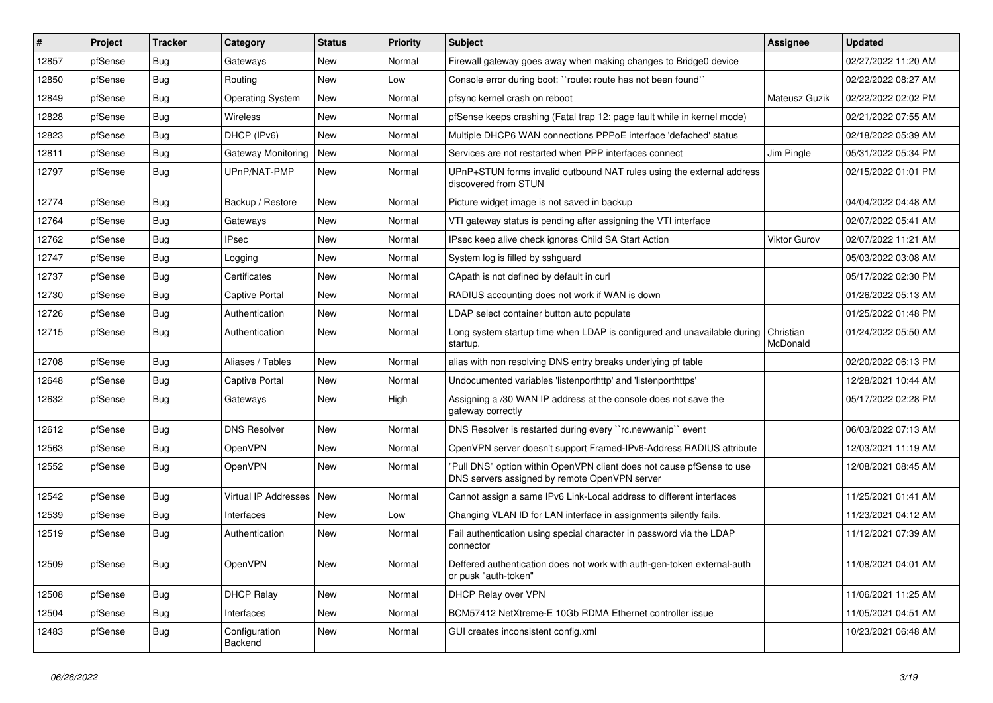| #     | Project | <b>Tracker</b> | Category                  | <b>Status</b> | <b>Priority</b> | <b>Subject</b>                                                                                                         | <b>Assignee</b>       | <b>Updated</b>      |
|-------|---------|----------------|---------------------------|---------------|-----------------|------------------------------------------------------------------------------------------------------------------------|-----------------------|---------------------|
| 12857 | pfSense | <b>Bug</b>     | Gateways                  | New           | Normal          | Firewall gateway goes away when making changes to Bridge0 device                                                       |                       | 02/27/2022 11:20 AM |
| 12850 | pfSense | Bug            | Routing                   | <b>New</b>    | Low             | Console error during boot: "route: route has not been found"                                                           |                       | 02/22/2022 08:27 AM |
| 12849 | pfSense | <b>Bug</b>     | <b>Operating System</b>   | <b>New</b>    | Normal          | pfsync kernel crash on reboot                                                                                          | Mateusz Guzik         | 02/22/2022 02:02 PM |
| 12828 | pfSense | Bug            | Wireless                  | New           | Normal          | pfSense keeps crashing (Fatal trap 12: page fault while in kernel mode)                                                |                       | 02/21/2022 07:55 AM |
| 12823 | pfSense | <b>Bug</b>     | DHCP (IPv6)               | <b>New</b>    | Normal          | Multiple DHCP6 WAN connections PPPoE interface 'defached' status                                                       |                       | 02/18/2022 05:39 AM |
| 12811 | pfSense | Bug            | <b>Gateway Monitoring</b> | New           | Normal          | Services are not restarted when PPP interfaces connect                                                                 | Jim Pingle            | 05/31/2022 05:34 PM |
| 12797 | pfSense | Bug            | UPnP/NAT-PMP              | New           | Normal          | UPnP+STUN forms invalid outbound NAT rules using the external address<br>discovered from STUN                          |                       | 02/15/2022 01:01 PM |
| 12774 | pfSense | Bug            | Backup / Restore          | <b>New</b>    | Normal          | Picture widget image is not saved in backup                                                                            |                       | 04/04/2022 04:48 AM |
| 12764 | pfSense | <b>Bug</b>     | Gateways                  | New           | Normal          | VTI gateway status is pending after assigning the VTI interface                                                        |                       | 02/07/2022 05:41 AM |
| 12762 | pfSense | Bug            | <b>IPsec</b>              | New           | Normal          | IPsec keep alive check ignores Child SA Start Action                                                                   | Viktor Gurov          | 02/07/2022 11:21 AM |
| 12747 | pfSense | Bug            | Logging                   | <b>New</b>    | Normal          | System log is filled by sshguard                                                                                       |                       | 05/03/2022 03:08 AM |
| 12737 | pfSense | <b>Bug</b>     | Certificates              | <b>New</b>    | Normal          | CApath is not defined by default in curl                                                                               |                       | 05/17/2022 02:30 PM |
| 12730 | pfSense | <b>Bug</b>     | Captive Portal            | <b>New</b>    | Normal          | RADIUS accounting does not work if WAN is down                                                                         |                       | 01/26/2022 05:13 AM |
| 12726 | pfSense | <b>Bug</b>     | Authentication            | New           | Normal          | LDAP select container button auto populate                                                                             |                       | 01/25/2022 01:48 PM |
| 12715 | pfSense | <b>Bug</b>     | Authentication            | <b>New</b>    | Normal          | Long system startup time when LDAP is configured and unavailable during<br>startup.                                    | Christian<br>McDonald | 01/24/2022 05:50 AM |
| 12708 | pfSense | Bug            | Aliases / Tables          | <b>New</b>    | Normal          | alias with non resolving DNS entry breaks underlying pf table                                                          |                       | 02/20/2022 06:13 PM |
| 12648 | pfSense | <b>Bug</b>     | Captive Portal            | New           | Normal          | Undocumented variables 'listenporthttp' and 'listenporthttps'                                                          |                       | 12/28/2021 10:44 AM |
| 12632 | pfSense | Bug            | Gateways                  | New           | High            | Assigning a /30 WAN IP address at the console does not save the<br>gateway correctly                                   |                       | 05/17/2022 02:28 PM |
| 12612 | pfSense | Bug            | <b>DNS Resolver</b>       | <b>New</b>    | Normal          | DNS Resolver is restarted during every "rc.newwanip" event                                                             |                       | 06/03/2022 07:13 AM |
| 12563 | pfSense | <b>Bug</b>     | OpenVPN                   | New           | Normal          | OpenVPN server doesn't support Framed-IPv6-Address RADIUS attribute                                                    |                       | 12/03/2021 11:19 AM |
| 12552 | pfSense | <b>Bug</b>     | OpenVPN                   | <b>New</b>    | Normal          | "Pull DNS" option within OpenVPN client does not cause pfSense to use<br>DNS servers assigned by remote OpenVPN server |                       | 12/08/2021 08:45 AM |
| 12542 | pfSense | Bug            | Virtual IP Addresses      | New           | Normal          | Cannot assign a same IPv6 Link-Local address to different interfaces                                                   |                       | 11/25/2021 01:41 AM |
| 12539 | pfSense | <b>Bug</b>     | Interfaces                | New           | Low             | Changing VLAN ID for LAN interface in assignments silently fails.                                                      |                       | 11/23/2021 04:12 AM |
| 12519 | pfSense | Bug            | Authentication            | New           | Normal          | Fail authentication using special character in password via the LDAP<br>connector                                      |                       | 11/12/2021 07:39 AM |
| 12509 | pfSense | Bug            | OpenVPN                   | New           | Normal          | Deffered authentication does not work with auth-gen-token external-auth<br>or pusk "auth-token"                        |                       | 11/08/2021 04:01 AM |
| 12508 | pfSense | <b>Bug</b>     | <b>DHCP Relay</b>         | New           | Normal          | <b>DHCP Relay over VPN</b>                                                                                             |                       | 11/06/2021 11:25 AM |
| 12504 | pfSense | <b>Bug</b>     | Interfaces                | New           | Normal          | BCM57412 NetXtreme-E 10Gb RDMA Ethernet controller issue                                                               |                       | 11/05/2021 04:51 AM |
| 12483 | pfSense | Bug            | Configuration<br>Backend  | New           | Normal          | GUI creates inconsistent config.xml                                                                                    |                       | 10/23/2021 06:48 AM |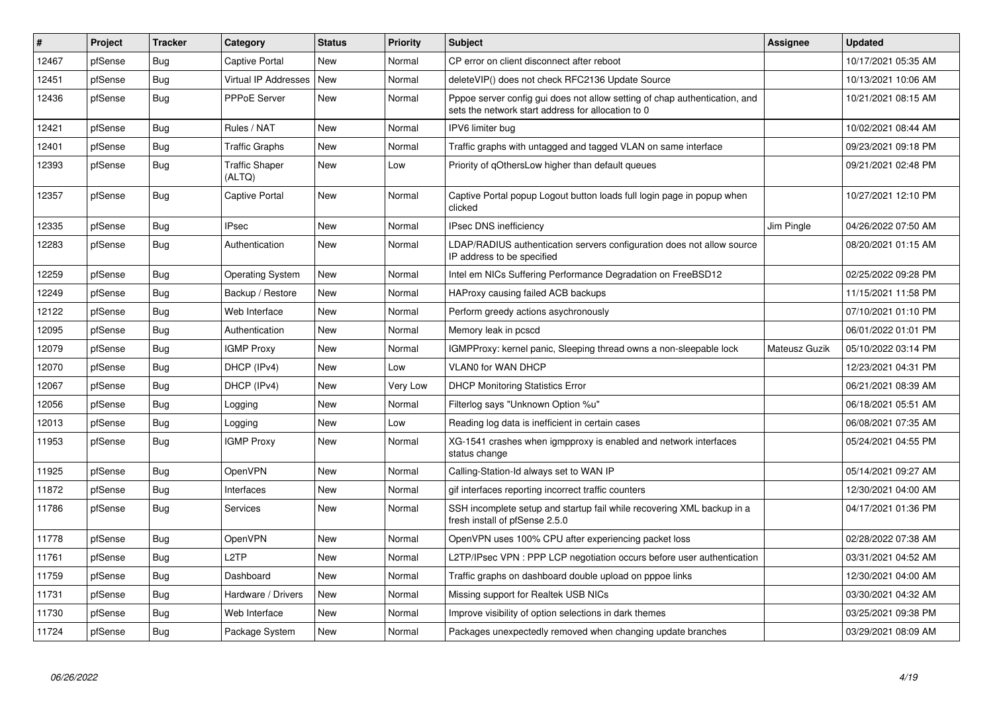| #     | Project | <b>Tracker</b> | Category                        | <b>Status</b> | <b>Priority</b> | <b>Subject</b>                                                                                                                   | <b>Assignee</b> | <b>Updated</b>      |
|-------|---------|----------------|---------------------------------|---------------|-----------------|----------------------------------------------------------------------------------------------------------------------------------|-----------------|---------------------|
| 12467 | pfSense | <b>Bug</b>     | Captive Portal                  | New           | Normal          | CP error on client disconnect after reboot                                                                                       |                 | 10/17/2021 05:35 AM |
| 12451 | pfSense | Bug            | <b>Virtual IP Addresses</b>     | New           | Normal          | deleteVIP() does not check RFC2136 Update Source                                                                                 |                 | 10/13/2021 10:06 AM |
| 12436 | pfSense | <b>Bug</b>     | PPPoE Server                    | <b>New</b>    | Normal          | Pppoe server config gui does not allow setting of chap authentication, and<br>sets the network start address for allocation to 0 |                 | 10/21/2021 08:15 AM |
| 12421 | pfSense | <b>Bug</b>     | Rules / NAT                     | <b>New</b>    | Normal          | IPV6 limiter bug                                                                                                                 |                 | 10/02/2021 08:44 AM |
| 12401 | pfSense | Bug            | Traffic Graphs                  | New           | Normal          | Traffic graphs with untagged and tagged VLAN on same interface                                                                   |                 | 09/23/2021 09:18 PM |
| 12393 | pfSense | Bug            | <b>Traffic Shaper</b><br>(ALTQ) | <b>New</b>    | Low             | Priority of gOthersLow higher than default queues                                                                                |                 | 09/21/2021 02:48 PM |
| 12357 | pfSense | Bug            | Captive Portal                  | New           | Normal          | Captive Portal popup Logout button loads full login page in popup when<br>clicked                                                |                 | 10/27/2021 12:10 PM |
| 12335 | pfSense | <b>Bug</b>     | <b>IPsec</b>                    | <b>New</b>    | Normal          | IPsec DNS inefficiency                                                                                                           | Jim Pingle      | 04/26/2022 07:50 AM |
| 12283 | pfSense | <b>Bug</b>     | Authentication                  | New           | Normal          | LDAP/RADIUS authentication servers configuration does not allow source<br>IP address to be specified                             |                 | 08/20/2021 01:15 AM |
| 12259 | pfSense | <b>Bug</b>     | <b>Operating System</b>         | <b>New</b>    | Normal          | Intel em NICs Suffering Performance Degradation on FreeBSD12                                                                     |                 | 02/25/2022 09:28 PM |
| 12249 | pfSense | <b>Bug</b>     | Backup / Restore                | New           | Normal          | HAProxy causing failed ACB backups                                                                                               |                 | 11/15/2021 11:58 PM |
| 12122 | pfSense | Bug            | Web Interface                   | New           | Normal          | Perform greedy actions asychronously                                                                                             |                 | 07/10/2021 01:10 PM |
| 12095 | pfSense | <b>Bug</b>     | Authentication                  | <b>New</b>    | Normal          | Memory leak in pcscd                                                                                                             |                 | 06/01/2022 01:01 PM |
| 12079 | pfSense | Bug            | <b>IGMP Proxy</b>               | New           | Normal          | IGMPProxy: kernel panic, Sleeping thread owns a non-sleepable lock                                                               | Mateusz Guzik   | 05/10/2022 03:14 PM |
| 12070 | pfSense | <b>Bug</b>     | DHCP (IPv4)                     | <b>New</b>    | Low             | <b>VLAN0 for WAN DHCP</b>                                                                                                        |                 | 12/23/2021 04:31 PM |
| 12067 | pfSense | Bug            | DHCP (IPv4)                     | New           | Very Low        | <b>DHCP Monitoring Statistics Error</b>                                                                                          |                 | 06/21/2021 08:39 AM |
| 12056 | pfSense | <b>Bug</b>     | Logging                         | <b>New</b>    | Normal          | Filterlog says "Unknown Option %u"                                                                                               |                 | 06/18/2021 05:51 AM |
| 12013 | pfSense | <b>Bug</b>     | Logging                         | <b>New</b>    | Low             | Reading log data is inefficient in certain cases                                                                                 |                 | 06/08/2021 07:35 AM |
| 11953 | pfSense | <b>Bug</b>     | <b>IGMP Proxy</b>               | <b>New</b>    | Normal          | XG-1541 crashes when igmpproxy is enabled and network interfaces<br>status change                                                |                 | 05/24/2021 04:55 PM |
| 11925 | pfSense | <b>Bug</b>     | <b>OpenVPN</b>                  | New           | Normal          | Calling-Station-Id always set to WAN IP                                                                                          |                 | 05/14/2021 09:27 AM |
| 11872 | pfSense | <b>Bug</b>     | Interfaces                      | <b>New</b>    | Normal          | gif interfaces reporting incorrect traffic counters                                                                              |                 | 12/30/2021 04:00 AM |
| 11786 | pfSense | Bug            | Services                        | New           | Normal          | SSH incomplete setup and startup fail while recovering XML backup in a<br>fresh install of pfSense 2.5.0                         |                 | 04/17/2021 01:36 PM |
| 11778 | pfSense | <b>Bug</b>     | <b>OpenVPN</b>                  | <b>New</b>    | Normal          | OpenVPN uses 100% CPU after experiencing packet loss                                                                             |                 | 02/28/2022 07:38 AM |
| 11761 | pfSense | Bug            | L <sub>2</sub> TP               | <b>New</b>    | Normal          | L2TP/IPsec VPN : PPP LCP negotiation occurs before user authentication                                                           |                 | 03/31/2021 04:52 AM |
| 11759 | pfSense | <b>Bug</b>     | Dashboard                       | <b>New</b>    | Normal          | Traffic graphs on dashboard double upload on pppoe links                                                                         |                 | 12/30/2021 04:00 AM |
| 11731 | pfSense | Bug            | Hardware / Drivers              | New           | Normal          | Missing support for Realtek USB NICs                                                                                             |                 | 03/30/2021 04:32 AM |
| 11730 | pfSense | <b>Bug</b>     | Web Interface                   | <b>New</b>    | Normal          | Improve visibility of option selections in dark themes                                                                           |                 | 03/25/2021 09:38 PM |
| 11724 | pfSense | Bug            | Package System                  | New           | Normal          | Packages unexpectedly removed when changing update branches                                                                      |                 | 03/29/2021 08:09 AM |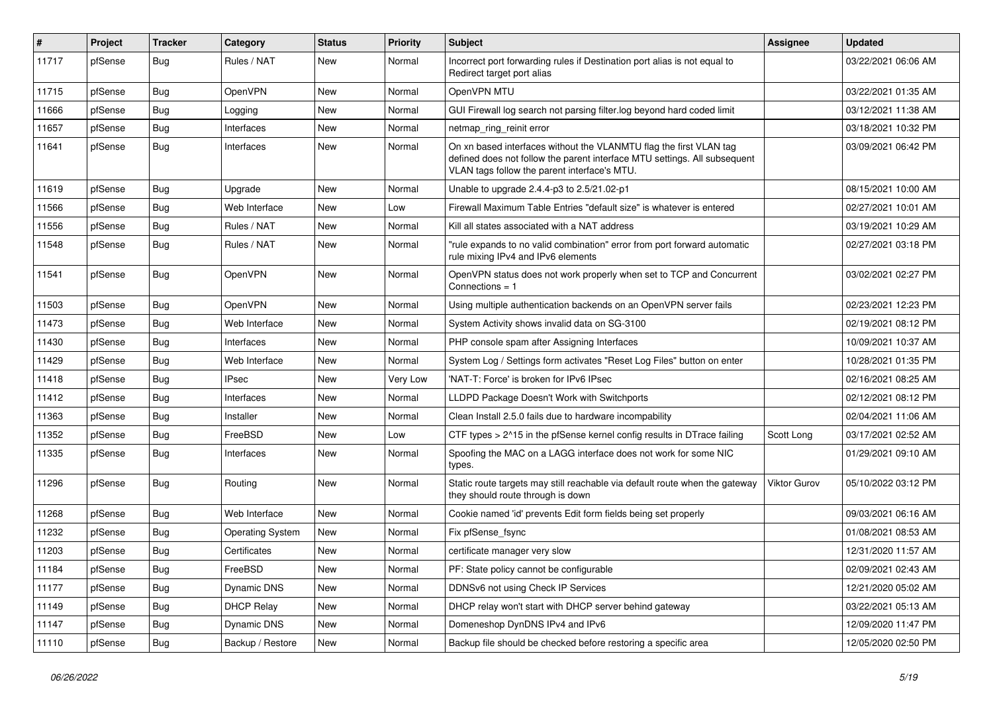| #     | Project | <b>Tracker</b> | Category                | <b>Status</b> | <b>Priority</b> | Subject                                                                                                                                                                                         | <b>Assignee</b> | <b>Updated</b>      |
|-------|---------|----------------|-------------------------|---------------|-----------------|-------------------------------------------------------------------------------------------------------------------------------------------------------------------------------------------------|-----------------|---------------------|
| 11717 | pfSense | <b>Bug</b>     | Rules / NAT             | New           | Normal          | Incorrect port forwarding rules if Destination port alias is not equal to<br>Redirect target port alias                                                                                         |                 | 03/22/2021 06:06 AM |
| 11715 | pfSense | Bug            | OpenVPN                 | New           | Normal          | OpenVPN MTU                                                                                                                                                                                     |                 | 03/22/2021 01:35 AM |
| 11666 | pfSense | Bug            | Logging                 | New           | Normal          | GUI Firewall log search not parsing filter.log beyond hard coded limit                                                                                                                          |                 | 03/12/2021 11:38 AM |
| 11657 | pfSense | <b>Bug</b>     | Interfaces              | <b>New</b>    | Normal          | netmap_ring_reinit error                                                                                                                                                                        |                 | 03/18/2021 10:32 PM |
| 11641 | pfSense | <b>Bug</b>     | Interfaces              | New           | Normal          | On xn based interfaces without the VLANMTU flag the first VLAN tag<br>defined does not follow the parent interface MTU settings. All subsequent<br>VLAN tags follow the parent interface's MTU. |                 | 03/09/2021 06:42 PM |
| 11619 | pfSense | Bug            | Upgrade                 | <b>New</b>    | Normal          | Unable to upgrade 2.4.4-p3 to 2.5/21.02-p1                                                                                                                                                      |                 | 08/15/2021 10:00 AM |
| 11566 | pfSense | <b>Bug</b>     | Web Interface           | New           | Low             | Firewall Maximum Table Entries "default size" is whatever is entered                                                                                                                            |                 | 02/27/2021 10:01 AM |
| 11556 | pfSense | <b>Bug</b>     | Rules / NAT             | New           | Normal          | Kill all states associated with a NAT address                                                                                                                                                   |                 | 03/19/2021 10:29 AM |
| 11548 | pfSense | Bug            | Rules / NAT             | New           | Normal          | "rule expands to no valid combination" error from port forward automatic<br>rule mixing IPv4 and IPv6 elements                                                                                  |                 | 02/27/2021 03:18 PM |
| 11541 | pfSense | <b>Bug</b>     | OpenVPN                 | New           | Normal          | OpenVPN status does not work properly when set to TCP and Concurrent<br>Connections $= 1$                                                                                                       |                 | 03/02/2021 02:27 PM |
| 11503 | pfSense | Bug            | OpenVPN                 | New           | Normal          | Using multiple authentication backends on an OpenVPN server fails                                                                                                                               |                 | 02/23/2021 12:23 PM |
| 11473 | pfSense | Bug            | Web Interface           | New           | Normal          | System Activity shows invalid data on SG-3100                                                                                                                                                   |                 | 02/19/2021 08:12 PM |
| 11430 | pfSense | Bug            | Interfaces              | New           | Normal          | PHP console spam after Assigning Interfaces                                                                                                                                                     |                 | 10/09/2021 10:37 AM |
| 11429 | pfSense | Bug            | Web Interface           | New           | Normal          | System Log / Settings form activates "Reset Log Files" button on enter                                                                                                                          |                 | 10/28/2021 01:35 PM |
| 11418 | pfSense | <b>Bug</b>     | <b>IPsec</b>            | New           | Very Low        | 'NAT-T: Force' is broken for IPv6 IPsec                                                                                                                                                         |                 | 02/16/2021 08:25 AM |
| 11412 | pfSense | <b>Bug</b>     | Interfaces              | <b>New</b>    | Normal          | LLDPD Package Doesn't Work with Switchports                                                                                                                                                     |                 | 02/12/2021 08:12 PM |
| 11363 | pfSense | <b>Bug</b>     | Installer               | New           | Normal          | Clean Install 2.5.0 fails due to hardware incompability                                                                                                                                         |                 | 02/04/2021 11:06 AM |
| 11352 | pfSense | <b>Bug</b>     | FreeBSD                 | New           | Low             | CTF types > 2^15 in the pfSense kernel config results in DTrace failing                                                                                                                         | Scott Long      | 03/17/2021 02:52 AM |
| 11335 | pfSense | <b>Bug</b>     | Interfaces              | New           | Normal          | Spoofing the MAC on a LAGG interface does not work for some NIC<br>types.                                                                                                                       |                 | 01/29/2021 09:10 AM |
| 11296 | pfSense | <b>Bug</b>     | Routing                 | New           | Normal          | Static route targets may still reachable via default route when the gateway<br>they should route through is down                                                                                | Viktor Gurov    | 05/10/2022 03:12 PM |
| 11268 | pfSense | Bug            | Web Interface           | New           | Normal          | Cookie named 'id' prevents Edit form fields being set properly                                                                                                                                  |                 | 09/03/2021 06:16 AM |
| 11232 | pfSense | Bug            | <b>Operating System</b> | New           | Normal          | Fix pfSense fsync                                                                                                                                                                               |                 | 01/08/2021 08:53 AM |
| 11203 | pfSense | <b>Bug</b>     | Certificates            | New           | Normal          | certificate manager very slow                                                                                                                                                                   |                 | 12/31/2020 11:57 AM |
| 11184 | pfSense | <b>Bug</b>     | FreeBSD                 | New           | Normal          | PF: State policy cannot be configurable                                                                                                                                                         |                 | 02/09/2021 02:43 AM |
| 11177 | pfSense | <b>Bug</b>     | Dynamic DNS             | New           | Normal          | DDNSv6 not using Check IP Services                                                                                                                                                              |                 | 12/21/2020 05:02 AM |
| 11149 | pfSense | <b>Bug</b>     | <b>DHCP Relay</b>       | New           | Normal          | DHCP relay won't start with DHCP server behind gateway                                                                                                                                          |                 | 03/22/2021 05:13 AM |
| 11147 | pfSense | <b>Bug</b>     | Dynamic DNS             | New           | Normal          | Domeneshop DynDNS IPv4 and IPv6                                                                                                                                                                 |                 | 12/09/2020 11:47 PM |
| 11110 | pfSense | Bug            | Backup / Restore        | New           | Normal          | Backup file should be checked before restoring a specific area                                                                                                                                  |                 | 12/05/2020 02:50 PM |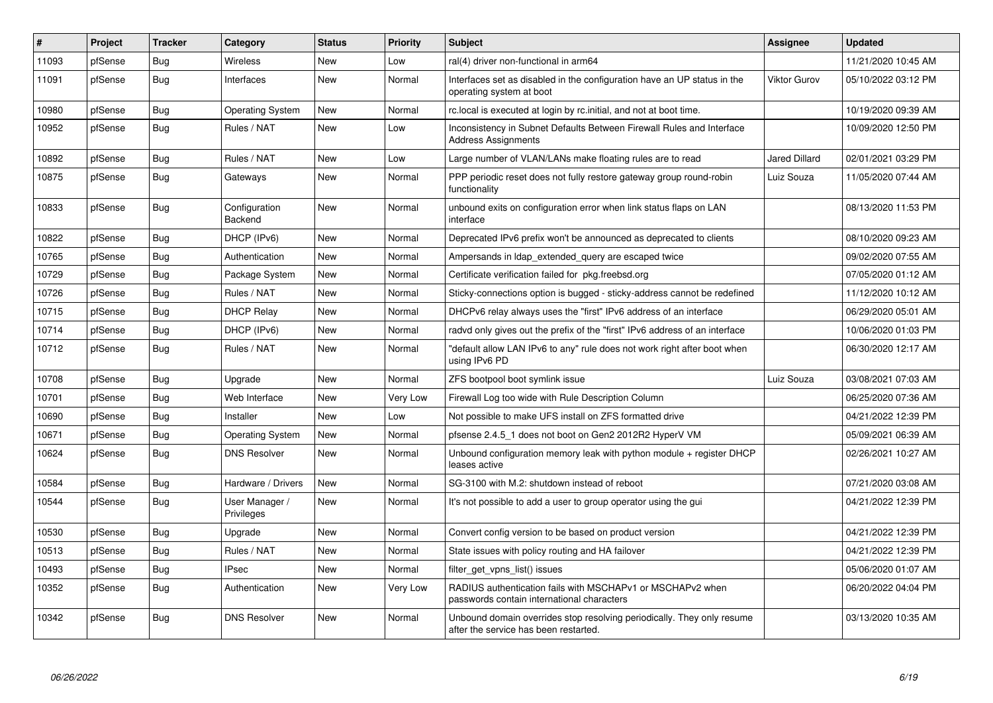| #     | Project | <b>Tracker</b> | Category                        | <b>Status</b> | <b>Priority</b> | <b>Subject</b>                                                                                                  | Assignee             | <b>Updated</b>      |
|-------|---------|----------------|---------------------------------|---------------|-----------------|-----------------------------------------------------------------------------------------------------------------|----------------------|---------------------|
| 11093 | pfSense | <b>Bug</b>     | Wireless                        | <b>New</b>    | Low             | ral(4) driver non-functional in arm64                                                                           |                      | 11/21/2020 10:45 AM |
| 11091 | pfSense | Bug            | Interfaces                      | New           | Normal          | Interfaces set as disabled in the configuration have an UP status in the<br>operating system at boot            | <b>Viktor Gurov</b>  | 05/10/2022 03:12 PM |
| 10980 | pfSense | Bug            | <b>Operating System</b>         | New           | Normal          | rc.local is executed at login by rc.initial, and not at boot time.                                              |                      | 10/19/2020 09:39 AM |
| 10952 | pfSense | Bug            | Rules / NAT                     | New           | Low             | Inconsistency in Subnet Defaults Between Firewall Rules and Interface<br><b>Address Assignments</b>             |                      | 10/09/2020 12:50 PM |
| 10892 | pfSense | Bug            | Rules / NAT                     | <b>New</b>    | Low             | Large number of VLAN/LANs make floating rules are to read                                                       | <b>Jared Dillard</b> | 02/01/2021 03:29 PM |
| 10875 | pfSense | Bug            | Gateways                        | New           | Normal          | PPP periodic reset does not fully restore gateway group round-robin<br>functionality                            | Luiz Souza           | 11/05/2020 07:44 AM |
| 10833 | pfSense | Bug            | Configuration<br><b>Backend</b> | New           | Normal          | unbound exits on configuration error when link status flaps on LAN<br>interface                                 |                      | 08/13/2020 11:53 PM |
| 10822 | pfSense | Bug            | DHCP (IPv6)                     | New           | Normal          | Deprecated IPv6 prefix won't be announced as deprecated to clients                                              |                      | 08/10/2020 09:23 AM |
| 10765 | pfSense | Bug            | Authentication                  | New           | Normal          | Ampersands in Idap extended query are escaped twice                                                             |                      | 09/02/2020 07:55 AM |
| 10729 | pfSense | <b>Bug</b>     | Package System                  | New           | Normal          | Certificate verification failed for pkg.freebsd.org                                                             |                      | 07/05/2020 01:12 AM |
| 10726 | pfSense | Bug            | Rules / NAT                     | New           | Normal          | Sticky-connections option is bugged - sticky-address cannot be redefined                                        |                      | 11/12/2020 10:12 AM |
| 10715 | pfSense | Bug            | <b>DHCP Relay</b>               | New           | Normal          | DHCPv6 relay always uses the "first" IPv6 address of an interface                                               |                      | 06/29/2020 05:01 AM |
| 10714 | pfSense | <b>Bug</b>     | DHCP (IPv6)                     | <b>New</b>    | Normal          | radvd only gives out the prefix of the "first" IPv6 address of an interface                                     |                      | 10/06/2020 01:03 PM |
| 10712 | pfSense | Bug            | Rules / NAT                     | New           | Normal          | "default allow LAN IPv6 to any" rule does not work right after boot when<br>using IPv6 PD                       |                      | 06/30/2020 12:17 AM |
| 10708 | pfSense | Bug            | Upgrade                         | <b>New</b>    | Normal          | ZFS bootpool boot symlink issue                                                                                 | Luiz Souza           | 03/08/2021 07:03 AM |
| 10701 | pfSense | Bug            | Web Interface                   | New           | Very Low        | Firewall Log too wide with Rule Description Column                                                              |                      | 06/25/2020 07:36 AM |
| 10690 | pfSense | <b>Bug</b>     | Installer                       | <b>New</b>    | Low             | Not possible to make UFS install on ZFS formatted drive                                                         |                      | 04/21/2022 12:39 PM |
| 10671 | pfSense | <b>Bug</b>     | <b>Operating System</b>         | <b>New</b>    | Normal          | pfsense 2.4.5_1 does not boot on Gen2 2012R2 HyperV VM                                                          |                      | 05/09/2021 06:39 AM |
| 10624 | pfSense | Bug            | <b>DNS Resolver</b>             | New           | Normal          | Unbound configuration memory leak with python module $+$ register DHCP<br>leases active                         |                      | 02/26/2021 10:27 AM |
| 10584 | pfSense | Bug            | Hardware / Drivers              | New           | Normal          | SG-3100 with M.2: shutdown instead of reboot                                                                    |                      | 07/21/2020 03:08 AM |
| 10544 | pfSense | Bug            | User Manager /<br>Privileges    | New           | Normal          | It's not possible to add a user to group operator using the gui                                                 |                      | 04/21/2022 12:39 PM |
| 10530 | pfSense | Bug            | Upgrade                         | <b>New</b>    | Normal          | Convert config version to be based on product version                                                           |                      | 04/21/2022 12:39 PM |
| 10513 | pfSense | Bug            | Rules / NAT                     | New           | Normal          | State issues with policy routing and HA failover                                                                |                      | 04/21/2022 12:39 PM |
| 10493 | pfSense | <b>Bug</b>     | <b>IPsec</b>                    | <b>New</b>    | Normal          | filter get vpns list() issues                                                                                   |                      | 05/06/2020 01:07 AM |
| 10352 | pfSense | Bug            | Authentication                  | New           | Very Low        | RADIUS authentication fails with MSCHAPv1 or MSCHAPv2 when<br>passwords contain international characters        |                      | 06/20/2022 04:04 PM |
| 10342 | pfSense | <b>Bug</b>     | <b>DNS Resolver</b>             | <b>New</b>    | Normal          | Unbound domain overrides stop resolving periodically. They only resume<br>after the service has been restarted. |                      | 03/13/2020 10:35 AM |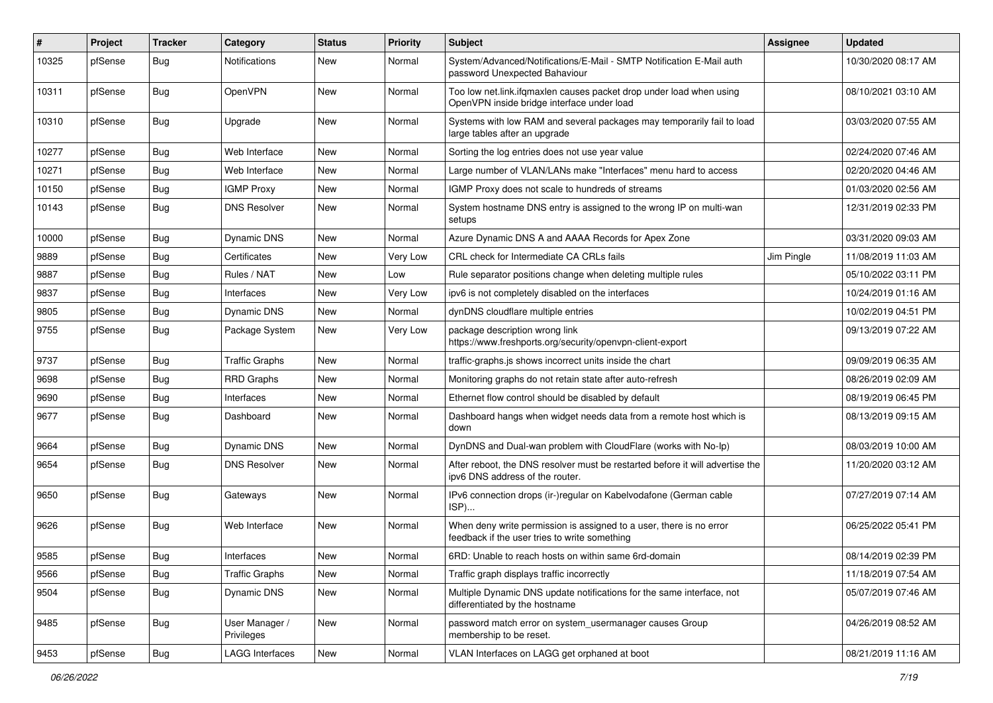| #     | Project | <b>Tracker</b> | Category                     | <b>Status</b> | <b>Priority</b> | <b>Subject</b>                                                                                                       | <b>Assignee</b> | <b>Updated</b>      |
|-------|---------|----------------|------------------------------|---------------|-----------------|----------------------------------------------------------------------------------------------------------------------|-----------------|---------------------|
| 10325 | pfSense | Bug            | Notifications                | New           | Normal          | System/Advanced/Notifications/E-Mail - SMTP Notification E-Mail auth<br>password Unexpected Bahaviour                |                 | 10/30/2020 08:17 AM |
| 10311 | pfSense | Bug            | OpenVPN                      | New           | Normal          | Too low net.link.ifqmaxlen causes packet drop under load when using<br>OpenVPN inside bridge interface under load    |                 | 08/10/2021 03:10 AM |
| 10310 | pfSense | <b>Bug</b>     | Upgrade                      | New           | Normal          | Systems with low RAM and several packages may temporarily fail to load<br>large tables after an upgrade              |                 | 03/03/2020 07:55 AM |
| 10277 | pfSense | Bug            | Web Interface                | New           | Normal          | Sorting the log entries does not use year value                                                                      |                 | 02/24/2020 07:46 AM |
| 10271 | pfSense | Bug            | Web Interface                | <b>New</b>    | Normal          | Large number of VLAN/LANs make "Interfaces" menu hard to access                                                      |                 | 02/20/2020 04:46 AM |
| 10150 | pfSense | <b>Bug</b>     | <b>IGMP Proxy</b>            | New           | Normal          | IGMP Proxy does not scale to hundreds of streams                                                                     |                 | 01/03/2020 02:56 AM |
| 10143 | pfSense | Bug            | <b>DNS Resolver</b>          | New           | Normal          | System hostname DNS entry is assigned to the wrong IP on multi-wan<br>setups                                         |                 | 12/31/2019 02:33 PM |
| 10000 | pfSense | <b>Bug</b>     | Dynamic DNS                  | New           | Normal          | Azure Dynamic DNS A and AAAA Records for Apex Zone                                                                   |                 | 03/31/2020 09:03 AM |
| 9889  | pfSense | Bug            | Certificates                 | New           | Very Low        | CRL check for Intermediate CA CRLs fails                                                                             | Jim Pingle      | 11/08/2019 11:03 AM |
| 9887  | pfSense | Bug            | Rules / NAT                  | New           | Low             | Rule separator positions change when deleting multiple rules                                                         |                 | 05/10/2022 03:11 PM |
| 9837  | pfSense | <b>Bug</b>     | Interfaces                   | New           | Very Low        | ipv6 is not completely disabled on the interfaces                                                                    |                 | 10/24/2019 01:16 AM |
| 9805  | pfSense | <b>Bug</b>     | <b>Dynamic DNS</b>           | New           | Normal          | dynDNS cloudflare multiple entries                                                                                   |                 | 10/02/2019 04:51 PM |
| 9755  | pfSense | <b>Bug</b>     | Package System               | New           | Very Low        | package description wrong link<br>https://www.freshports.org/security/openvpn-client-export                          |                 | 09/13/2019 07:22 AM |
| 9737  | pfSense | <b>Bug</b>     | <b>Traffic Graphs</b>        | New           | Normal          | traffic-graphs.js shows incorrect units inside the chart                                                             |                 | 09/09/2019 06:35 AM |
| 9698  | pfSense | <b>Bug</b>     | <b>RRD Graphs</b>            | New           | Normal          | Monitoring graphs do not retain state after auto-refresh                                                             |                 | 08/26/2019 02:09 AM |
| 9690  | pfSense | <b>Bug</b>     | Interfaces                   | New           | Normal          | Ethernet flow control should be disabled by default                                                                  |                 | 08/19/2019 06:45 PM |
| 9677  | pfSense | <b>Bug</b>     | Dashboard                    | New           | Normal          | Dashboard hangs when widget needs data from a remote host which is<br>down                                           |                 | 08/13/2019 09:15 AM |
| 9664  | pfSense | <b>Bug</b>     | <b>Dynamic DNS</b>           | <b>New</b>    | Normal          | DynDNS and Dual-wan problem with CloudFlare (works with No-Ip)                                                       |                 | 08/03/2019 10:00 AM |
| 9654  | pfSense | <b>Bug</b>     | <b>DNS Resolver</b>          | New           | Normal          | After reboot, the DNS resolver must be restarted before it will advertise the<br>ipv6 DNS address of the router.     |                 | 11/20/2020 03:12 AM |
| 9650  | pfSense | <b>Bug</b>     | Gateways                     | New           | Normal          | IPv6 connection drops (ir-)regular on Kabelvodafone (German cable<br>ISP)                                            |                 | 07/27/2019 07:14 AM |
| 9626  | pfSense | <b>Bug</b>     | Web Interface                | New           | Normal          | When deny write permission is assigned to a user, there is no error<br>feedback if the user tries to write something |                 | 06/25/2022 05:41 PM |
| 9585  | pfSense | <b>Bug</b>     | Interfaces                   | New           | Normal          | 6RD: Unable to reach hosts on within same 6rd-domain                                                                 |                 | 08/14/2019 02:39 PM |
| 9566  | pfSense | <b>Bug</b>     | <b>Traffic Graphs</b>        | New           | Normal          | Traffic graph displays traffic incorrectly                                                                           |                 | 11/18/2019 07:54 AM |
| 9504  | pfSense | <b>Bug</b>     | <b>Dynamic DNS</b>           | New           | Normal          | Multiple Dynamic DNS update notifications for the same interface, not<br>differentiated by the hostname              |                 | 05/07/2019 07:46 AM |
| 9485  | pfSense | Bug            | User Manager /<br>Privileges | New           | Normal          | password match error on system usermanager causes Group<br>membership to be reset.                                   |                 | 04/26/2019 08:52 AM |
| 9453  | pfSense | <b>Bug</b>     | <b>LAGG Interfaces</b>       | New           | Normal          | VLAN Interfaces on LAGG get orphaned at boot                                                                         |                 | 08/21/2019 11:16 AM |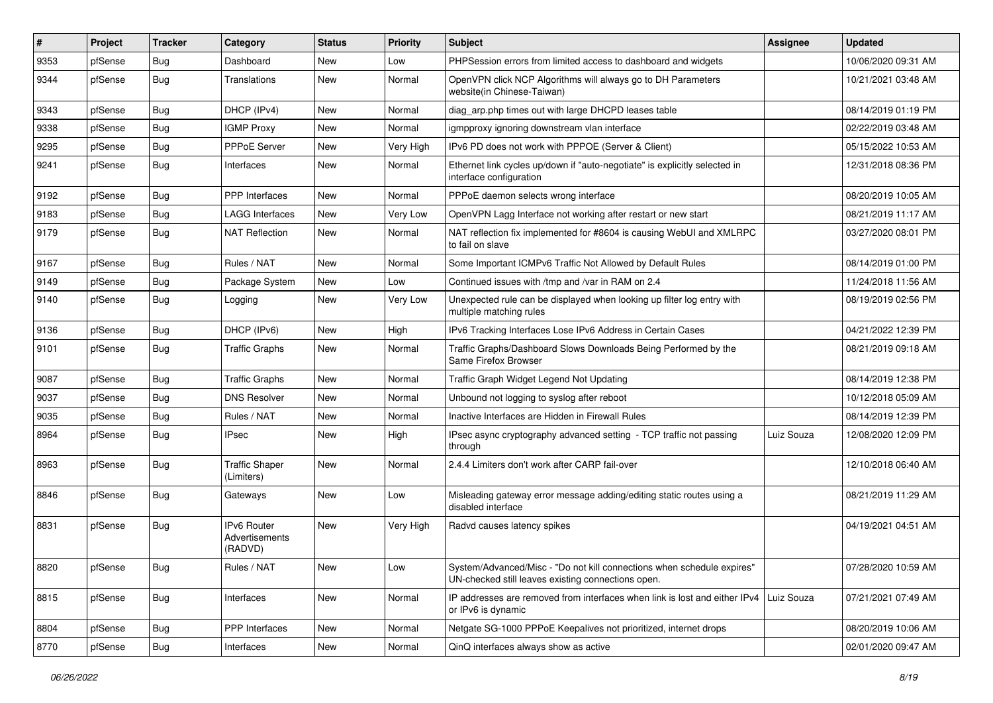| #    | Project | <b>Tracker</b> | Category                                        | <b>Status</b> | <b>Priority</b> | Subject                                                                                                                      | Assignee   | <b>Updated</b>      |
|------|---------|----------------|-------------------------------------------------|---------------|-----------------|------------------------------------------------------------------------------------------------------------------------------|------------|---------------------|
| 9353 | pfSense | Bug            | Dashboard                                       | New           | Low             | PHPSession errors from limited access to dashboard and widgets                                                               |            | 10/06/2020 09:31 AM |
| 9344 | pfSense | <b>Bug</b>     | Translations                                    | New           | Normal          | OpenVPN click NCP Algorithms will always go to DH Parameters<br>website(in Chinese-Taiwan)                                   |            | 10/21/2021 03:48 AM |
| 9343 | pfSense | <b>Bug</b>     | DHCP (IPv4)                                     | <b>New</b>    | Normal          | diag_arp.php times out with large DHCPD leases table                                                                         |            | 08/14/2019 01:19 PM |
| 9338 | pfSense | <b>Bug</b>     | <b>IGMP Proxy</b>                               | <b>New</b>    | Normal          | igmpproxy ignoring downstream vlan interface                                                                                 |            | 02/22/2019 03:48 AM |
| 9295 | pfSense | <b>Bug</b>     | <b>PPPoE Server</b>                             | <b>New</b>    | Very High       | IPv6 PD does not work with PPPOE (Server & Client)                                                                           |            | 05/15/2022 10:53 AM |
| 9241 | pfSense | <b>Bug</b>     | Interfaces                                      | New           | Normal          | Ethernet link cycles up/down if "auto-negotiate" is explicitly selected in<br>interface configuration                        |            | 12/31/2018 08:36 PM |
| 9192 | pfSense | Bug            | <b>PPP</b> Interfaces                           | <b>New</b>    | Normal          | PPPoE daemon selects wrong interface                                                                                         |            | 08/20/2019 10:05 AM |
| 9183 | pfSense | <b>Bug</b>     | <b>LAGG Interfaces</b>                          | <b>New</b>    | Very Low        | OpenVPN Lagg Interface not working after restart or new start                                                                |            | 08/21/2019 11:17 AM |
| 9179 | pfSense | <b>Bug</b>     | <b>NAT Reflection</b>                           | New           | Normal          | NAT reflection fix implemented for #8604 is causing WebUI and XMLRPC<br>to fail on slave                                     |            | 03/27/2020 08:01 PM |
| 9167 | pfSense | Bug            | Rules / NAT                                     | <b>New</b>    | Normal          | Some Important ICMPv6 Traffic Not Allowed by Default Rules                                                                   |            | 08/14/2019 01:00 PM |
| 9149 | pfSense | <b>Bug</b>     | Package System                                  | New           | Low             | Continued issues with /tmp and /var in RAM on 2.4                                                                            |            | 11/24/2018 11:56 AM |
| 9140 | pfSense | <b>Bug</b>     | Logging                                         | New           | Very Low        | Unexpected rule can be displayed when looking up filter log entry with<br>multiple matching rules                            |            | 08/19/2019 02:56 PM |
| 9136 | pfSense | Bug            | DHCP (IPv6)                                     | <b>New</b>    | High            | IPv6 Tracking Interfaces Lose IPv6 Address in Certain Cases                                                                  |            | 04/21/2022 12:39 PM |
| 9101 | pfSense | <b>Bug</b>     | <b>Traffic Graphs</b>                           | New           | Normal          | Traffic Graphs/Dashboard Slows Downloads Being Performed by the<br>Same Firefox Browser                                      |            | 08/21/2019 09:18 AM |
| 9087 | pfSense | <b>Bug</b>     | <b>Traffic Graphs</b>                           | <b>New</b>    | Normal          | Traffic Graph Widget Legend Not Updating                                                                                     |            | 08/14/2019 12:38 PM |
| 9037 | pfSense | <b>Bug</b>     | <b>DNS Resolver</b>                             | <b>New</b>    | Normal          | Unbound not logging to syslog after reboot                                                                                   |            | 10/12/2018 05:09 AM |
| 9035 | pfSense | <b>Bug</b>     | Rules / NAT                                     | <b>New</b>    | Normal          | Inactive Interfaces are Hidden in Firewall Rules                                                                             |            | 08/14/2019 12:39 PM |
| 8964 | pfSense | <b>Bug</b>     | <b>IPsec</b>                                    | New           | High            | IPsec async cryptography advanced setting - TCP traffic not passing<br>through                                               | Luiz Souza | 12/08/2020 12:09 PM |
| 8963 | pfSense | <b>Bug</b>     | <b>Traffic Shaper</b><br>(Limiters)             | New           | Normal          | 2.4.4 Limiters don't work after CARP fail-over                                                                               |            | 12/10/2018 06:40 AM |
| 8846 | pfSense | <b>Bug</b>     | Gateways                                        | <b>New</b>    | Low             | Misleading gateway error message adding/editing static routes using a<br>disabled interface                                  |            | 08/21/2019 11:29 AM |
| 8831 | pfSense | Bug            | <b>IPv6 Router</b><br>Advertisements<br>(RADVD) | <b>New</b>    | Very High       | Radvd causes latency spikes                                                                                                  |            | 04/19/2021 04:51 AM |
| 8820 | pfSense | <b>Bug</b>     | Rules / NAT                                     | New           | Low             | System/Advanced/Misc - "Do not kill connections when schedule expires"<br>UN-checked still leaves existing connections open. |            | 07/28/2020 10:59 AM |
| 8815 | pfSense | <b>Bug</b>     | Interfaces                                      | New           | Normal          | IP addresses are removed from interfaces when link is lost and either IPv4 Luiz Souza<br>or IPv6 is dynamic                  |            | 07/21/2021 07:49 AM |
| 8804 | pfSense | <b>Bug</b>     | <b>PPP</b> Interfaces                           | New           | Normal          | Netgate SG-1000 PPPoE Keepalives not prioritized, internet drops                                                             |            | 08/20/2019 10:06 AM |
| 8770 | pfSense | Bug            | Interfaces                                      | New           | Normal          | QinQ interfaces always show as active                                                                                        |            | 02/01/2020 09:47 AM |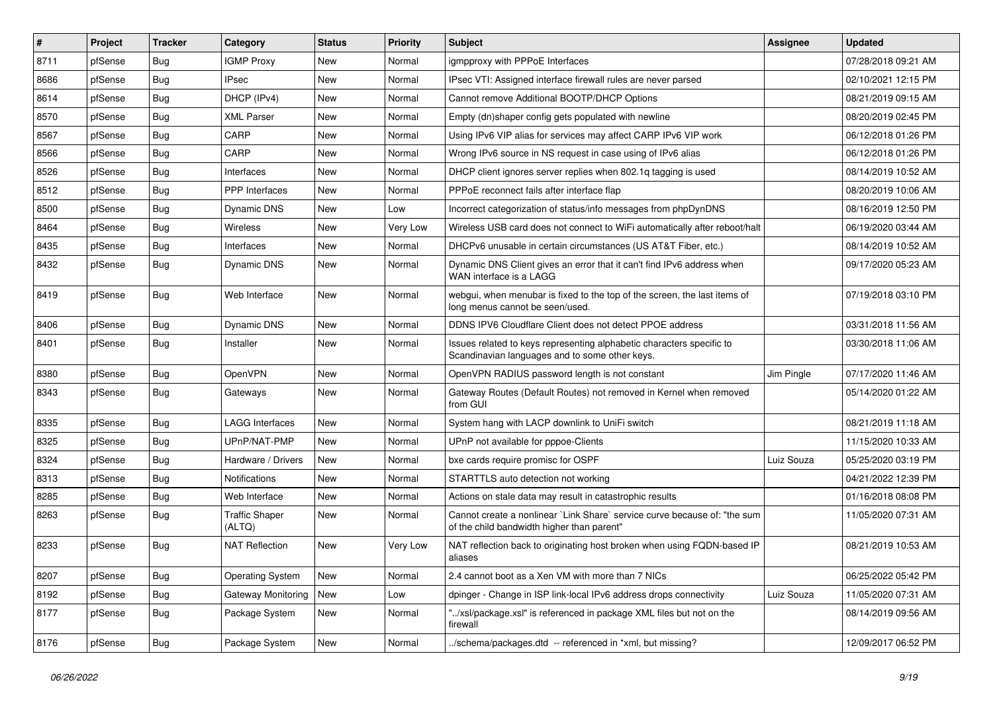| #    | Project | <b>Tracker</b> | Category                        | <b>Status</b> | <b>Priority</b> | <b>Subject</b>                                                                                                          | Assignee   | <b>Updated</b>      |
|------|---------|----------------|---------------------------------|---------------|-----------------|-------------------------------------------------------------------------------------------------------------------------|------------|---------------------|
| 8711 | pfSense | <b>Bug</b>     | <b>IGMP Proxy</b>               | New           | Normal          | igmpproxy with PPPoE Interfaces                                                                                         |            | 07/28/2018 09:21 AM |
| 8686 | pfSense | <b>Bug</b>     | <b>IPsec</b>                    | New           | Normal          | IPsec VTI: Assigned interface firewall rules are never parsed                                                           |            | 02/10/2021 12:15 PM |
| 8614 | pfSense | <b>Bug</b>     | DHCP (IPv4)                     | New           | Normal          | Cannot remove Additional BOOTP/DHCP Options                                                                             |            | 08/21/2019 09:15 AM |
| 8570 | pfSense | Bug            | <b>XML Parser</b>               | New           | Normal          | Empty (dn)shaper config gets populated with newline                                                                     |            | 08/20/2019 02:45 PM |
| 8567 | pfSense | <b>Bug</b>     | CARP                            | New           | Normal          | Using IPv6 VIP alias for services may affect CARP IPv6 VIP work                                                         |            | 06/12/2018 01:26 PM |
| 8566 | pfSense | Bug            | CARP                            | New           | Normal          | Wrong IPv6 source in NS request in case using of IPv6 alias                                                             |            | 06/12/2018 01:26 PM |
| 8526 | pfSense | Bug            | Interfaces                      | New           | Normal          | DHCP client ignores server replies when 802.1g tagging is used                                                          |            | 08/14/2019 10:52 AM |
| 8512 | pfSense | <b>Bug</b>     | PPP Interfaces                  | <b>New</b>    | Normal          | PPPoE reconnect fails after interface flap                                                                              |            | 08/20/2019 10:06 AM |
| 8500 | pfSense | Bug            | Dynamic DNS                     | New           | Low             | Incorrect categorization of status/info messages from phpDynDNS                                                         |            | 08/16/2019 12:50 PM |
| 8464 | pfSense | <b>Bug</b>     | <b>Wireless</b>                 | <b>New</b>    | Very Low        | Wireless USB card does not connect to WiFi automatically after reboot/halt                                              |            | 06/19/2020 03:44 AM |
| 8435 | pfSense | Bug            | Interfaces                      | New           | Normal          | DHCPv6 unusable in certain circumstances (US AT&T Fiber, etc.)                                                          |            | 08/14/2019 10:52 AM |
| 8432 | pfSense | Bug            | Dynamic DNS                     | New           | Normal          | Dynamic DNS Client gives an error that it can't find IPv6 address when<br>WAN interface is a LAGG                       |            | 09/17/2020 05:23 AM |
| 8419 | pfSense | Bug            | Web Interface                   | <b>New</b>    | Normal          | webqui, when menubar is fixed to the top of the screen, the last items of<br>long menus cannot be seen/used.            |            | 07/19/2018 03:10 PM |
| 8406 | pfSense | <b>Bug</b>     | <b>Dynamic DNS</b>              | <b>New</b>    | Normal          | DDNS IPV6 Cloudflare Client does not detect PPOE address                                                                |            | 03/31/2018 11:56 AM |
| 8401 | pfSense | Bug            | Installer                       | New           | Normal          | Issues related to keys representing alphabetic characters specific to<br>Scandinavian languages and to some other keys. |            | 03/30/2018 11:06 AM |
| 8380 | pfSense | Bug            | OpenVPN                         | New           | Normal          | OpenVPN RADIUS password length is not constant                                                                          | Jim Pingle | 07/17/2020 11:46 AM |
| 8343 | pfSense | Bug            | Gateways                        | New           | Normal          | Gateway Routes (Default Routes) not removed in Kernel when removed<br>from GUI                                          |            | 05/14/2020 01:22 AM |
| 8335 | pfSense | Bug            | LAGG Interfaces                 | New           | Normal          | System hang with LACP downlink to UniFi switch                                                                          |            | 08/21/2019 11:18 AM |
| 8325 | pfSense | <b>Bug</b>     | UPnP/NAT-PMP                    | New           | Normal          | UPnP not available for pppoe-Clients                                                                                    |            | 11/15/2020 10:33 AM |
| 8324 | pfSense | <b>Bug</b>     | Hardware / Drivers              | New           | Normal          | bxe cards require promisc for OSPF                                                                                      | Luiz Souza | 05/25/2020 03:19 PM |
| 8313 | pfSense | <b>Bug</b>     | Notifications                   | New           | Normal          | STARTTLS auto detection not working                                                                                     |            | 04/21/2022 12:39 PM |
| 8285 | pfSense | <b>Bug</b>     | Web Interface                   | <b>New</b>    | Normal          | Actions on stale data may result in catastrophic results                                                                |            | 01/16/2018 08:08 PM |
| 8263 | pfSense | Bug            | <b>Traffic Shaper</b><br>(ALTQ) | New           | Normal          | Cannot create a nonlinear `Link Share` service curve because of: "the sum<br>of the child bandwidth higher than parent" |            | 11/05/2020 07:31 AM |
| 8233 | pfSense | <b>Bug</b>     | <b>NAT Reflection</b>           | New           | Very Low        | NAT reflection back to originating host broken when using FQDN-based IP<br>aliases                                      |            | 08/21/2019 10:53 AM |
| 8207 | pfSense | Bug            | <b>Operating System</b>         | New           | Normal          | 2.4 cannot boot as a Xen VM with more than 7 NICs                                                                       |            | 06/25/2022 05:42 PM |
| 8192 | pfSense | Bug            | Gateway Monitoring              | New           | Low             | dpinger - Change in ISP link-local IPv6 address drops connectivity                                                      | Luiz Souza | 11/05/2020 07:31 AM |
| 8177 | pfSense | <b>Bug</b>     | Package System                  | New           | Normal          | "/xsl/package.xsl" is referenced in package XML files but not on the<br>firewall                                        |            | 08/14/2019 09:56 AM |
| 8176 | pfSense | <b>Bug</b>     | Package System                  | New           | Normal          | ./schema/packages.dtd -- referenced in *xml, but missing?                                                               |            | 12/09/2017 06:52 PM |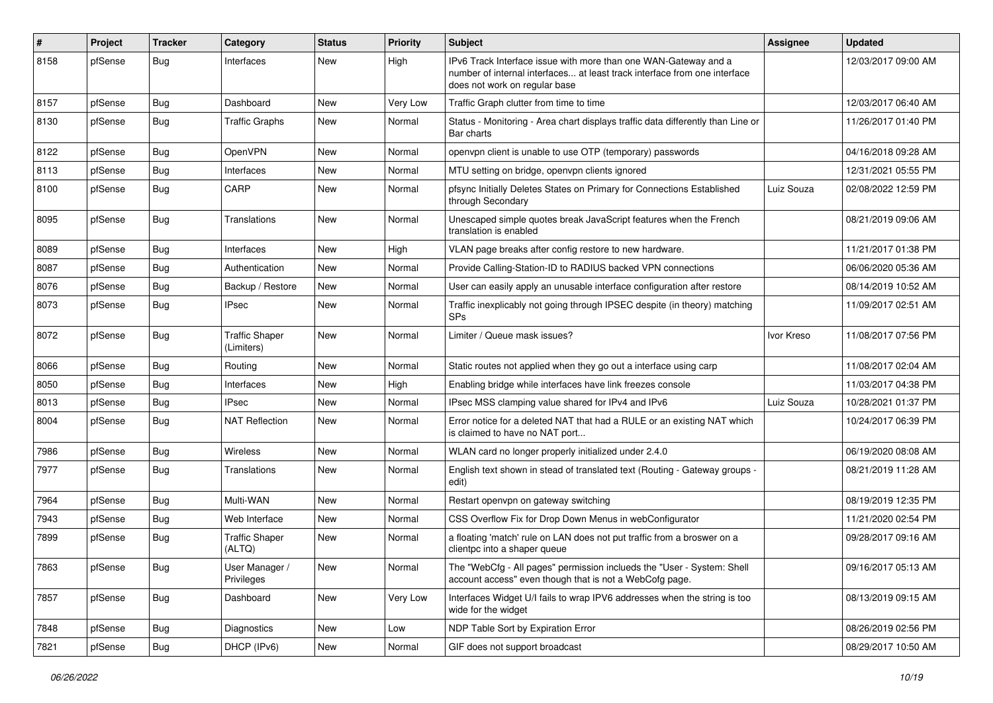| $\pmb{\sharp}$ | Project | <b>Tracker</b> | Category                            | <b>Status</b> | <b>Priority</b> | Subject                                                                                                                                                                       | <b>Assignee</b> | <b>Updated</b>      |
|----------------|---------|----------------|-------------------------------------|---------------|-----------------|-------------------------------------------------------------------------------------------------------------------------------------------------------------------------------|-----------------|---------------------|
| 8158           | pfSense | Bug            | Interfaces                          | New           | High            | IPv6 Track Interface issue with more than one WAN-Gateway and a<br>number of internal interfaces at least track interface from one interface<br>does not work on regular base |                 | 12/03/2017 09:00 AM |
| 8157           | pfSense | Bug            | Dashboard                           | <b>New</b>    | Very Low        | Traffic Graph clutter from time to time                                                                                                                                       |                 | 12/03/2017 06:40 AM |
| 8130           | pfSense | Bug            | <b>Traffic Graphs</b>               | New           | Normal          | Status - Monitoring - Area chart displays traffic data differently than Line or<br>Bar charts                                                                                 |                 | 11/26/2017 01:40 PM |
| 8122           | pfSense | <b>Bug</b>     | OpenVPN                             | New           | Normal          | openypn client is unable to use OTP (temporary) passwords                                                                                                                     |                 | 04/16/2018 09:28 AM |
| 8113           | pfSense | <b>Bug</b>     | Interfaces                          | New           | Normal          | MTU setting on bridge, openvpn clients ignored                                                                                                                                |                 | 12/31/2021 05:55 PM |
| 8100           | pfSense | <b>Bug</b>     | CARP                                | New           | Normal          | pfsync Initially Deletes States on Primary for Connections Established<br>through Secondary                                                                                   | Luiz Souza      | 02/08/2022 12:59 PM |
| 8095           | pfSense | Bug            | Translations                        | New           | Normal          | Unescaped simple quotes break JavaScript features when the French<br>translation is enabled                                                                                   |                 | 08/21/2019 09:06 AM |
| 8089           | pfSense | <b>Bug</b>     | Interfaces                          | <b>New</b>    | High            | VLAN page breaks after config restore to new hardware.                                                                                                                        |                 | 11/21/2017 01:38 PM |
| 8087           | pfSense | Bug            | Authentication                      | New           | Normal          | Provide Calling-Station-ID to RADIUS backed VPN connections                                                                                                                   |                 | 06/06/2020 05:36 AM |
| 8076           | pfSense | <b>Bug</b>     | Backup / Restore                    | New           | Normal          | User can easily apply an unusable interface configuration after restore                                                                                                       |                 | 08/14/2019 10:52 AM |
| 8073           | pfSense | <b>Bug</b>     | <b>IPsec</b>                        | New           | Normal          | Traffic inexplicably not going through IPSEC despite (in theory) matching<br>SP <sub>s</sub>                                                                                  |                 | 11/09/2017 02:51 AM |
| 8072           | pfSense | Bug            | <b>Traffic Shaper</b><br>(Limiters) | New           | Normal          | Limiter / Queue mask issues?                                                                                                                                                  | Ivor Kreso      | 11/08/2017 07:56 PM |
| 8066           | pfSense | <b>Bug</b>     | Routing                             | New           | Normal          | Static routes not applied when they go out a interface using carp                                                                                                             |                 | 11/08/2017 02:04 AM |
| 8050           | pfSense | <b>Bug</b>     | Interfaces                          | <b>New</b>    | High            | Enabling bridge while interfaces have link freezes console                                                                                                                    |                 | 11/03/2017 04:38 PM |
| 8013           | pfSense | <b>Bug</b>     | <b>IPsec</b>                        | New           | Normal          | IPsec MSS clamping value shared for IPv4 and IPv6                                                                                                                             | Luiz Souza      | 10/28/2021 01:37 PM |
| 8004           | pfSense | Bug            | <b>NAT Reflection</b>               | New           | Normal          | Error notice for a deleted NAT that had a RULE or an existing NAT which<br>is claimed to have no NAT port                                                                     |                 | 10/24/2017 06:39 PM |
| 7986           | pfSense | <b>Bug</b>     | Wireless                            | <b>New</b>    | Normal          | WLAN card no longer properly initialized under 2.4.0                                                                                                                          |                 | 06/19/2020 08:08 AM |
| 7977           | pfSense | <b>Bug</b>     | Translations                        | New           | Normal          | English text shown in stead of translated text (Routing - Gateway groups -<br>edit)                                                                                           |                 | 08/21/2019 11:28 AM |
| 7964           | pfSense | <b>Bug</b>     | Multi-WAN                           | New           | Normal          | Restart openvpn on gateway switching                                                                                                                                          |                 | 08/19/2019 12:35 PM |
| 7943           | pfSense | <b>Bug</b>     | Web Interface                       | New           | Normal          | CSS Overflow Fix for Drop Down Menus in webConfigurator                                                                                                                       |                 | 11/21/2020 02:54 PM |
| 7899           | pfSense | <b>Bug</b>     | <b>Traffic Shaper</b><br>(ALTQ)     | New           | Normal          | a floating 'match' rule on LAN does not put traffic from a broswer on a<br>clientpc into a shaper queue                                                                       |                 | 09/28/2017 09:16 AM |
| 7863           | pfSense | Bug            | User Manager /<br>Privileges        | New           | Normal          | The "WebCfg - All pages" permission inclueds the "User - System: Shell<br>account access" even though that is not a WebCofg page.                                             |                 | 09/16/2017 05:13 AM |
| 7857           | pfSense | Bug            | Dashboard                           | New           | Very Low        | Interfaces Widget U/I fails to wrap IPV6 addresses when the string is too<br>wide for the widget                                                                              |                 | 08/13/2019 09:15 AM |
| 7848           | pfSense | Bug            | Diagnostics                         | New           | Low             | NDP Table Sort by Expiration Error                                                                                                                                            |                 | 08/26/2019 02:56 PM |
| 7821           | pfSense | <b>Bug</b>     | DHCP (IPv6)                         | New           | Normal          | GIF does not support broadcast                                                                                                                                                |                 | 08/29/2017 10:50 AM |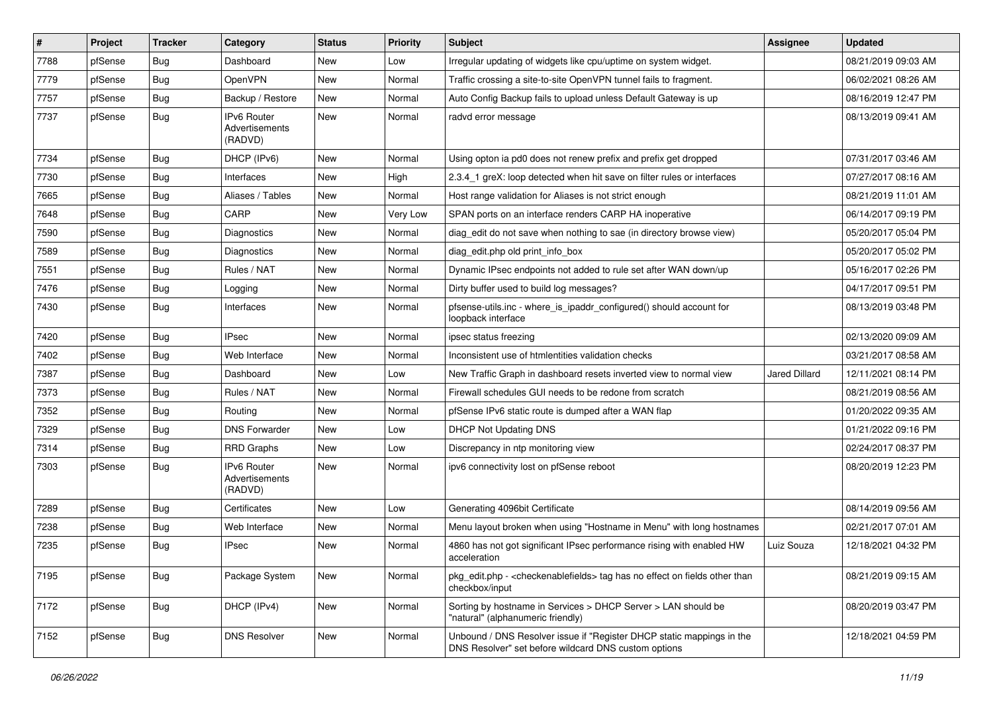| #    | Project | <b>Tracker</b> | Category                                 | <b>Status</b> | <b>Priority</b> | <b>Subject</b>                                                                                                                | <b>Assignee</b> | <b>Updated</b>      |
|------|---------|----------------|------------------------------------------|---------------|-----------------|-------------------------------------------------------------------------------------------------------------------------------|-----------------|---------------------|
| 7788 | pfSense | <b>Bug</b>     | Dashboard                                | New           | Low             | Irregular updating of widgets like cpu/uptime on system widget.                                                               |                 | 08/21/2019 09:03 AM |
| 7779 | pfSense | Bug            | OpenVPN                                  | <b>New</b>    | Normal          | Traffic crossing a site-to-site OpenVPN tunnel fails to fragment.                                                             |                 | 06/02/2021 08:26 AM |
| 7757 | pfSense | <b>Bug</b>     | Backup / Restore                         | New           | Normal          | Auto Config Backup fails to upload unless Default Gateway is up                                                               |                 | 08/16/2019 12:47 PM |
| 7737 | pfSense | Bug            | IPv6 Router<br>Advertisements<br>(RADVD) | <b>New</b>    | Normal          | radvd error message                                                                                                           |                 | 08/13/2019 09:41 AM |
| 7734 | pfSense | <b>Bug</b>     | DHCP (IPv6)                              | <b>New</b>    | Normal          | Using opton ia pd0 does not renew prefix and prefix get dropped                                                               |                 | 07/31/2017 03:46 AM |
| 7730 | pfSense | Bug            | Interfaces                               | <b>New</b>    | High            | 2.3.4_1 greX: loop detected when hit save on filter rules or interfaces                                                       |                 | 07/27/2017 08:16 AM |
| 7665 | pfSense | Bug            | Aliases / Tables                         | <b>New</b>    | Normal          | Host range validation for Aliases is not strict enough                                                                        |                 | 08/21/2019 11:01 AM |
| 7648 | pfSense | <b>Bug</b>     | CARP                                     | <b>New</b>    | Very Low        | SPAN ports on an interface renders CARP HA inoperative                                                                        |                 | 06/14/2017 09:19 PM |
| 7590 | pfSense | <b>Bug</b>     | Diagnostics                              | <b>New</b>    | Normal          | diag edit do not save when nothing to sae (in directory browse view)                                                          |                 | 05/20/2017 05:04 PM |
| 7589 | pfSense | Bug            | Diagnostics                              | New           | Normal          | diag_edit.php old print_info_box                                                                                              |                 | 05/20/2017 05:02 PM |
| 7551 | pfSense | <b>Bug</b>     | Rules / NAT                              | <b>New</b>    | Normal          | Dynamic IPsec endpoints not added to rule set after WAN down/up                                                               |                 | 05/16/2017 02:26 PM |
| 7476 | pfSense | <b>Bug</b>     | Logging                                  | New           | Normal          | Dirty buffer used to build log messages?                                                                                      |                 | 04/17/2017 09:51 PM |
| 7430 | pfSense | <b>Bug</b>     | Interfaces                               | New           | Normal          | pfsense-utils.inc - where_is_ipaddr_configured() should account for<br>loopback interface                                     |                 | 08/13/2019 03:48 PM |
| 7420 | pfSense | Bug            | <b>IPsec</b>                             | <b>New</b>    | Normal          | ipsec status freezing                                                                                                         |                 | 02/13/2020 09:09 AM |
| 7402 | pfSense | Bug            | Web Interface                            | <b>New</b>    | Normal          | Inconsistent use of htmlentities validation checks                                                                            |                 | 03/21/2017 08:58 AM |
| 7387 | pfSense | Bug            | Dashboard                                | New           | Low             | New Traffic Graph in dashboard resets inverted view to normal view                                                            | Jared Dillard   | 12/11/2021 08:14 PM |
| 7373 | pfSense | Bug            | Rules / NAT                              | <b>New</b>    | Normal          | Firewall schedules GUI needs to be redone from scratch                                                                        |                 | 08/21/2019 08:56 AM |
| 7352 | pfSense | <b>Bug</b>     | Routing                                  | New           | Normal          | pfSense IPv6 static route is dumped after a WAN flap                                                                          |                 | 01/20/2022 09:35 AM |
| 7329 | pfSense | <b>Bug</b>     | <b>DNS Forwarder</b>                     | <b>New</b>    | Low             | <b>DHCP Not Updating DNS</b>                                                                                                  |                 | 01/21/2022 09:16 PM |
| 7314 | pfSense | <b>Bug</b>     | <b>RRD Graphs</b>                        | New           | Low             | Discrepancy in ntp monitoring view                                                                                            |                 | 02/24/2017 08:37 PM |
| 7303 | pfSense | <b>Bug</b>     | IPv6 Router<br>Advertisements<br>(RADVD) | <b>New</b>    | Normal          | ipv6 connectivity lost on pfSense reboot                                                                                      |                 | 08/20/2019 12:23 PM |
| 7289 | pfSense | <b>Bug</b>     | Certificates                             | <b>New</b>    | Low             | Generating 4096bit Certificate                                                                                                |                 | 08/14/2019 09:56 AM |
| 7238 | pfSense | Bug            | Web Interface                            | <b>New</b>    | Normal          | Menu layout broken when using "Hostname in Menu" with long hostnames                                                          |                 | 02/21/2017 07:01 AM |
| 7235 | pfSense | Bug            | <b>IPsec</b>                             | New           | Normal          | 4860 has not got significant IPsec performance rising with enabled HW<br>acceleration                                         | Luiz Souza      | 12/18/2021 04:32 PM |
| 7195 | pfSense | Bug            | Package System                           | New           | Normal          | pkg edit.php - <checkenable fields=""> tag has no effect on fields other than<br/>checkbox/input</checkenable>                |                 | 08/21/2019 09:15 AM |
| 7172 | pfSense | <b>Bug</b>     | DHCP (IPv4)                              | New           | Normal          | Sorting by hostname in Services > DHCP Server > LAN should be<br>"natural" (alphanumeric friendly)                            |                 | 08/20/2019 03:47 PM |
| 7152 | pfSense | Bug            | <b>DNS Resolver</b>                      | New           | Normal          | Unbound / DNS Resolver issue if "Register DHCP static mappings in the<br>DNS Resolver" set before wildcard DNS custom options |                 | 12/18/2021 04:59 PM |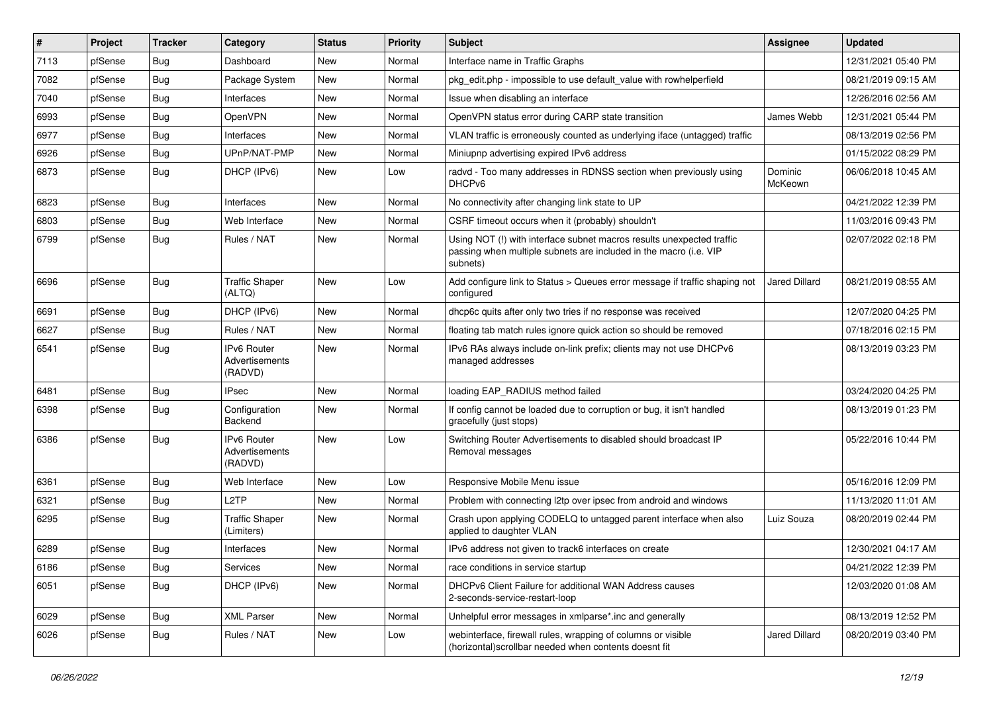| $\pmb{\sharp}$ | Project | <b>Tracker</b> | Category                                        | <b>Status</b> | <b>Priority</b> | <b>Subject</b>                                                                                                                                         | Assignee             | <b>Updated</b>      |
|----------------|---------|----------------|-------------------------------------------------|---------------|-----------------|--------------------------------------------------------------------------------------------------------------------------------------------------------|----------------------|---------------------|
| 7113           | pfSense | <b>Bug</b>     | Dashboard                                       | New           | Normal          | Interface name in Traffic Graphs                                                                                                                       |                      | 12/31/2021 05:40 PM |
| 7082           | pfSense | <b>Bug</b>     | Package System                                  | <b>New</b>    | Normal          | pkg edit.php - impossible to use default value with rowhelperfield                                                                                     |                      | 08/21/2019 09:15 AM |
| 7040           | pfSense | Bug            | Interfaces                                      | New           | Normal          | Issue when disabling an interface                                                                                                                      |                      | 12/26/2016 02:56 AM |
| 6993           | pfSense | <b>Bug</b>     | OpenVPN                                         | New           | Normal          | OpenVPN status error during CARP state transition                                                                                                      | James Webb           | 12/31/2021 05:44 PM |
| 6977           | pfSense | <b>Bug</b>     | Interfaces                                      | New           | Normal          | VLAN traffic is erroneously counted as underlying iface (untagged) traffic                                                                             |                      | 08/13/2019 02:56 PM |
| 6926           | pfSense | Bug            | UPnP/NAT-PMP                                    | New           | Normal          | Miniupnp advertising expired IPv6 address                                                                                                              |                      | 01/15/2022 08:29 PM |
| 6873           | pfSense | Bug            | DHCP (IPv6)                                     | New           | Low             | radvd - Too many addresses in RDNSS section when previously using<br>DHCP <sub>v6</sub>                                                                | Dominic<br>McKeown   | 06/06/2018 10:45 AM |
| 6823           | pfSense | <b>Bug</b>     | Interfaces                                      | <b>New</b>    | Normal          | No connectivity after changing link state to UP                                                                                                        |                      | 04/21/2022 12:39 PM |
| 6803           | pfSense | <b>Bug</b>     | Web Interface                                   | <b>New</b>    | Normal          | CSRF timeout occurs when it (probably) shouldn't                                                                                                       |                      | 11/03/2016 09:43 PM |
| 6799           | pfSense | Bug            | Rules / NAT                                     | New           | Normal          | Using NOT (!) with interface subnet macros results unexpected traffic<br>passing when multiple subnets are included in the macro (i.e. VIP<br>subnets) |                      | 02/07/2022 02:18 PM |
| 6696           | pfSense | Bug            | <b>Traffic Shaper</b><br>(ALTQ)                 | <b>New</b>    | Low             | Add configure link to Status > Queues error message if traffic shaping not<br>configured                                                               | <b>Jared Dillard</b> | 08/21/2019 08:55 AM |
| 6691           | pfSense | Bug            | DHCP (IPv6)                                     | <b>New</b>    | Normal          | dhcp6c quits after only two tries if no response was received                                                                                          |                      | 12/07/2020 04:25 PM |
| 6627           | pfSense | <b>Bug</b>     | Rules / NAT                                     | New           | Normal          | floating tab match rules ignore quick action so should be removed                                                                                      |                      | 07/18/2016 02:15 PM |
| 6541           | pfSense | Bug            | <b>IPv6 Router</b><br>Advertisements<br>(RADVD) | New           | Normal          | IPv6 RAs always include on-link prefix; clients may not use DHCPv6<br>managed addresses                                                                |                      | 08/13/2019 03:23 PM |
| 6481           | pfSense | <b>Bug</b>     | <b>IPsec</b>                                    | <b>New</b>    | Normal          | loading EAP_RADIUS method failed                                                                                                                       |                      | 03/24/2020 04:25 PM |
| 6398           | pfSense | Bug            | Configuration<br>Backend                        | New           | Normal          | If config cannot be loaded due to corruption or bug, it isn't handled<br>gracefully (just stops)                                                       |                      | 08/13/2019 01:23 PM |
| 6386           | pfSense | <b>Bug</b>     | <b>IPv6 Router</b><br>Advertisements<br>(RADVD) | New           | Low             | Switching Router Advertisements to disabled should broadcast IP<br>Removal messages                                                                    |                      | 05/22/2016 10:44 PM |
| 6361           | pfSense | <b>Bug</b>     | Web Interface                                   | New           | Low             | Responsive Mobile Menu issue                                                                                                                           |                      | 05/16/2016 12:09 PM |
| 6321           | pfSense | Bug            | L2TP                                            | New           | Normal          | Problem with connecting I2tp over ipsec from android and windows                                                                                       |                      | 11/13/2020 11:01 AM |
| 6295           | pfSense | Bug            | <b>Traffic Shaper</b><br>(Limiters)             | New           | Normal          | Crash upon applying CODELQ to untagged parent interface when also<br>applied to daughter VLAN                                                          | Luiz Souza           | 08/20/2019 02:44 PM |
| 6289           | pfSense | <b>Bug</b>     | Interfaces                                      | New           | Normal          | IPv6 address not given to track6 interfaces on create                                                                                                  |                      | 12/30/2021 04:17 AM |
| 6186           | pfSense | Bug            | Services                                        | New           | Normal          | race conditions in service startup                                                                                                                     |                      | 04/21/2022 12:39 PM |
| 6051           | pfSense | Bug            | DHCP (IPv6)                                     | New           | Normal          | DHCPv6 Client Failure for additional WAN Address causes<br>2-seconds-service-restart-loop                                                              |                      | 12/03/2020 01:08 AM |
| 6029           | pfSense | Bug            | <b>XML Parser</b>                               | New           | Normal          | Unhelpful error messages in xmlparse*.inc and generally                                                                                                |                      | 08/13/2019 12:52 PM |
| 6026           | pfSense | <b>Bug</b>     | Rules / NAT                                     | New           | Low             | webinterface, firewall rules, wrapping of columns or visible<br>(horizontal) scrollbar needed when contents doesnt fit                                 | Jared Dillard        | 08/20/2019 03:40 PM |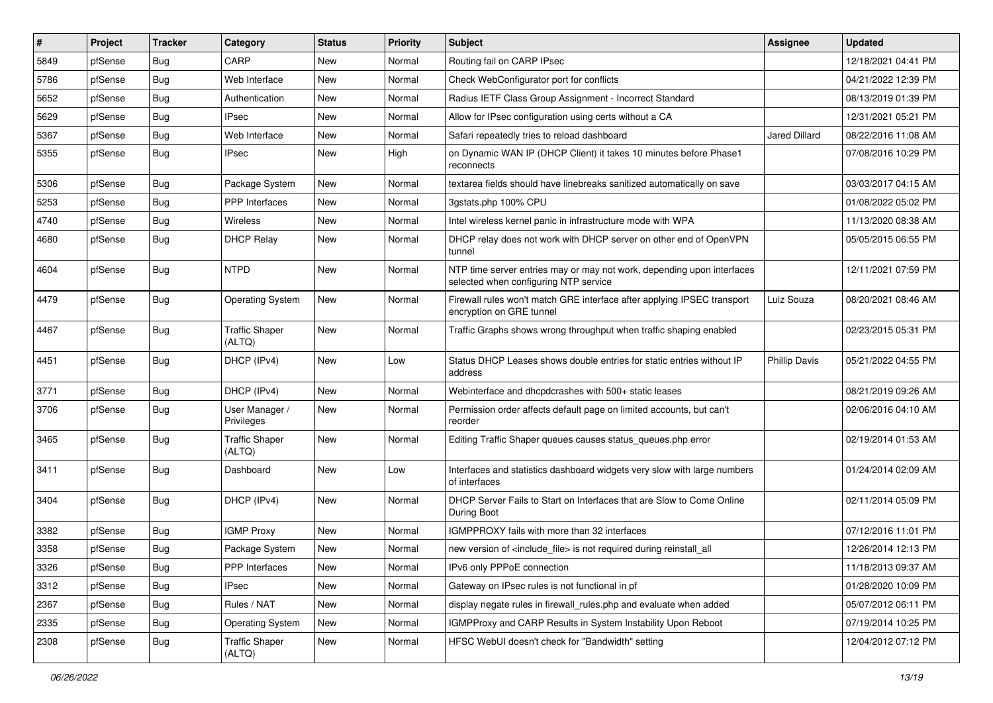| ∦    | Project | <b>Tracker</b> | Category                        | <b>Status</b> | <b>Priority</b> | <b>Subject</b>                                                                                                  | <b>Assignee</b>      | <b>Updated</b>      |
|------|---------|----------------|---------------------------------|---------------|-----------------|-----------------------------------------------------------------------------------------------------------------|----------------------|---------------------|
| 5849 | pfSense | Bug            | CARP                            | New           | Normal          | Routing fail on CARP IPsec                                                                                      |                      | 12/18/2021 04:41 PM |
| 5786 | pfSense | <b>Bug</b>     | Web Interface                   | New           | Normal          | Check WebConfigurator port for conflicts                                                                        |                      | 04/21/2022 12:39 PM |
| 5652 | pfSense | <b>Bug</b>     | Authentication                  | New           | Normal          | Radius IETF Class Group Assignment - Incorrect Standard                                                         |                      | 08/13/2019 01:39 PM |
| 5629 | pfSense | <b>Bug</b>     | <b>IPsec</b>                    | New           | Normal          | Allow for IPsec configuration using certs without a CA                                                          |                      | 12/31/2021 05:21 PM |
| 5367 | pfSense | <b>Bug</b>     | Web Interface                   | New           | Normal          | Safari repeatedly tries to reload dashboard                                                                     | <b>Jared Dillard</b> | 08/22/2016 11:08 AM |
| 5355 | pfSense | <b>Bug</b>     | <b>IPsec</b>                    | New           | High            | on Dynamic WAN IP (DHCP Client) it takes 10 minutes before Phase1<br>reconnects                                 |                      | 07/08/2016 10:29 PM |
| 5306 | pfSense | <b>Bug</b>     | Package System                  | New           | Normal          | textarea fields should have linebreaks sanitized automatically on save                                          |                      | 03/03/2017 04:15 AM |
| 5253 | pfSense | Bug            | <b>PPP</b> Interfaces           | New           | Normal          | 3qstats.php 100% CPU                                                                                            |                      | 01/08/2022 05:02 PM |
| 4740 | pfSense | <b>Bug</b>     | <b>Wireless</b>                 | New           | Normal          | Intel wireless kernel panic in infrastructure mode with WPA                                                     |                      | 11/13/2020 08:38 AM |
| 4680 | pfSense | Bug            | <b>DHCP Relay</b>               | New           | Normal          | DHCP relay does not work with DHCP server on other end of OpenVPN<br>tunnel                                     |                      | 05/05/2015 06:55 PM |
| 4604 | pfSense | <b>Bug</b>     | <b>NTPD</b>                     | New           | Normal          | NTP time server entries may or may not work, depending upon interfaces<br>selected when configuring NTP service |                      | 12/11/2021 07:59 PM |
| 4479 | pfSense | <b>Bug</b>     | Operating System                | <b>New</b>    | Normal          | Firewall rules won't match GRE interface after applying IPSEC transport<br>encryption on GRE tunnel             | Luiz Souza           | 08/20/2021 08:46 AM |
| 4467 | pfSense | Bug            | <b>Traffic Shaper</b><br>(ALTQ) | <b>New</b>    | Normal          | Traffic Graphs shows wrong throughput when traffic shaping enabled                                              |                      | 02/23/2015 05:31 PM |
| 4451 | pfSense | <b>Bug</b>     | DHCP (IPv4)                     | New           | Low             | Status DHCP Leases shows double entries for static entries without IP<br>address                                | <b>Phillip Davis</b> | 05/21/2022 04:55 PM |
| 3771 | pfSense | <b>Bug</b>     | DHCP (IPv4)                     | New           | Normal          | Webinterface and dhcpdcrashes with 500+ static leases                                                           |                      | 08/21/2019 09:26 AM |
| 3706 | pfSense | Bug            | User Manager /<br>Privileges    | New           | Normal          | Permission order affects default page on limited accounts, but can't<br>reorder                                 |                      | 02/06/2016 04:10 AM |
| 3465 | pfSense | <b>Bug</b>     | <b>Traffic Shaper</b><br>(ALTQ) | New           | Normal          | Editing Traffic Shaper queues causes status_queues.php error                                                    |                      | 02/19/2014 01:53 AM |
| 3411 | pfSense | <b>Bug</b>     | Dashboard                       | New           | Low             | Interfaces and statistics dashboard widgets very slow with large numbers<br>of interfaces                       |                      | 01/24/2014 02:09 AM |
| 3404 | pfSense | Bug            | DHCP (IPv4)                     | New           | Normal          | DHCP Server Fails to Start on Interfaces that are Slow to Come Online<br>During Boot                            |                      | 02/11/2014 05:09 PM |
| 3382 | pfSense | <b>Bug</b>     | <b>IGMP Proxy</b>               | <b>New</b>    | Normal          | IGMPPROXY fails with more than 32 interfaces                                                                    |                      | 07/12/2016 11:01 PM |
| 3358 | pfSense | <b>Bug</b>     | Package System                  | New           | Normal          | new version of <include file=""> is not required during reinstall all</include>                                 |                      | 12/26/2014 12:13 PM |
| 3326 | pfSense | <b>Bug</b>     | PPP Interfaces                  | New           | Normal          | IPv6 only PPPoE connection                                                                                      |                      | 11/18/2013 09:37 AM |
| 3312 | pfSense | <b>Bug</b>     | <b>IPsec</b>                    | New           | Normal          | Gateway on IPsec rules is not functional in pf                                                                  |                      | 01/28/2020 10:09 PM |
| 2367 | pfSense | <b>Bug</b>     | Rules / NAT                     | New           | Normal          | display negate rules in firewall_rules.php and evaluate when added                                              |                      | 05/07/2012 06:11 PM |
| 2335 | pfSense | Bug            | <b>Operating System</b>         | New           | Normal          | IGMPProxy and CARP Results in System Instability Upon Reboot                                                    |                      | 07/19/2014 10:25 PM |
| 2308 | pfSense | Bug            | <b>Traffic Shaper</b><br>(ALTQ) | New           | Normal          | HFSC WebUI doesn't check for "Bandwidth" setting                                                                |                      | 12/04/2012 07:12 PM |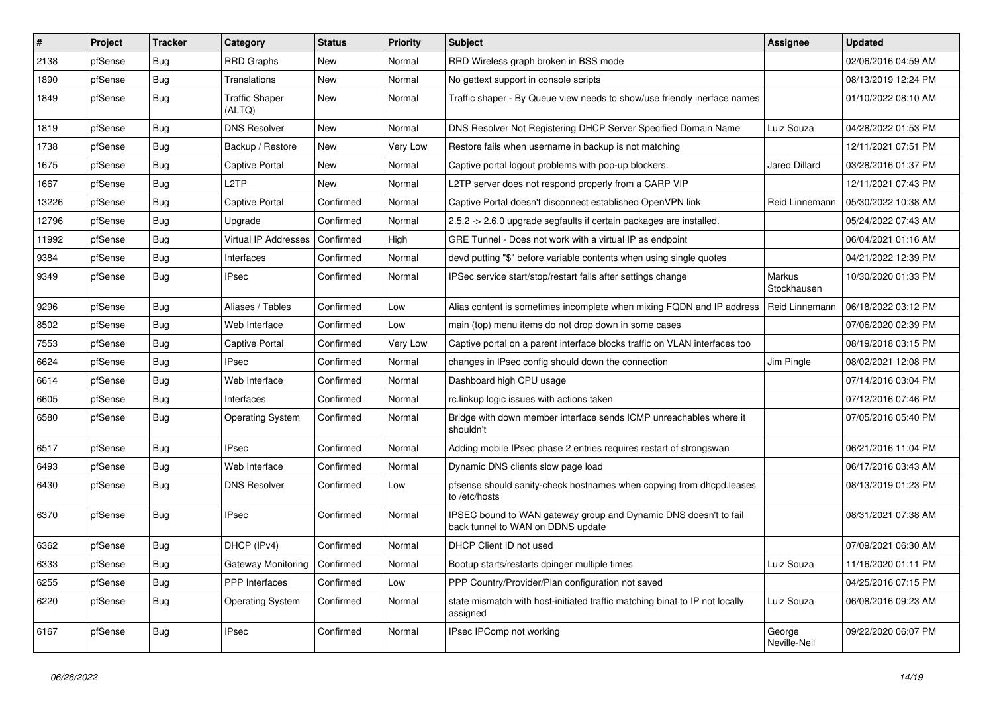| $\pmb{\sharp}$ | Project | <b>Tracker</b> | Category                        | <b>Status</b> | <b>Priority</b> | <b>Subject</b>                                                                                        | Assignee               | <b>Updated</b>      |
|----------------|---------|----------------|---------------------------------|---------------|-----------------|-------------------------------------------------------------------------------------------------------|------------------------|---------------------|
| 2138           | pfSense | Bug            | <b>RRD Graphs</b>               | New           | Normal          | RRD Wireless graph broken in BSS mode                                                                 |                        | 02/06/2016 04:59 AM |
| 1890           | pfSense | <b>Bug</b>     | Translations                    | New           | Normal          | No gettext support in console scripts                                                                 |                        | 08/13/2019 12:24 PM |
| 1849           | pfSense | Bug            | <b>Traffic Shaper</b><br>(ALTQ) | New           | Normal          | Traffic shaper - By Queue view needs to show/use friendly inerface names                              |                        | 01/10/2022 08:10 AM |
| 1819           | pfSense | <b>Bug</b>     | <b>DNS Resolver</b>             | New           | Normal          | DNS Resolver Not Registering DHCP Server Specified Domain Name                                        | Luiz Souza             | 04/28/2022 01:53 PM |
| 1738           | pfSense | Bug            | Backup / Restore                | New           | Very Low        | Restore fails when username in backup is not matching                                                 |                        | 12/11/2021 07:51 PM |
| 1675           | pfSense | Bug            | Captive Portal                  | New           | Normal          | Captive portal logout problems with pop-up blockers.                                                  | <b>Jared Dillard</b>   | 03/28/2016 01:37 PM |
| 1667           | pfSense | <b>Bug</b>     | L2TP                            | <b>New</b>    | Normal          | L2TP server does not respond properly from a CARP VIP                                                 |                        | 12/11/2021 07:43 PM |
| 13226          | pfSense | <b>Bug</b>     | Captive Portal                  | Confirmed     | Normal          | Captive Portal doesn't disconnect established OpenVPN link                                            | Reid Linnemann         | 05/30/2022 10:38 AM |
| 12796          | pfSense | <b>Bug</b>     | Upgrade                         | Confirmed     | Normal          | 2.5.2 -> 2.6.0 upgrade segfaults if certain packages are installed.                                   |                        | 05/24/2022 07:43 AM |
| 11992          | pfSense | Bug            | Virtual IP Addresses            | Confirmed     | High            | GRE Tunnel - Does not work with a virtual IP as endpoint                                              |                        | 06/04/2021 01:16 AM |
| 9384           | pfSense | <b>Bug</b>     | Interfaces                      | Confirmed     | Normal          | devd putting "\$" before variable contents when using single quotes                                   |                        | 04/21/2022 12:39 PM |
| 9349           | pfSense | Bug            | <b>IPsec</b>                    | Confirmed     | Normal          | IPSec service start/stop/restart fails after settings change                                          | Markus<br>Stockhausen  | 10/30/2020 01:33 PM |
| 9296           | pfSense | <b>Bug</b>     | Aliases / Tables                | Confirmed     | Low             | Alias content is sometimes incomplete when mixing FQDN and IP address                                 | Reid Linnemann         | 06/18/2022 03:12 PM |
| 8502           | pfSense | <b>Bug</b>     | Web Interface                   | Confirmed     | Low             | main (top) menu items do not drop down in some cases                                                  |                        | 07/06/2020 02:39 PM |
| 7553           | pfSense | Bug            | Captive Portal                  | Confirmed     | Very Low        | Captive portal on a parent interface blocks traffic on VLAN interfaces too                            |                        | 08/19/2018 03:15 PM |
| 6624           | pfSense | Bug            | <b>IPsec</b>                    | Confirmed     | Normal          | changes in IPsec config should down the connection                                                    | Jim Pingle             | 08/02/2021 12:08 PM |
| 6614           | pfSense | Bug            | Web Interface                   | Confirmed     | Normal          | Dashboard high CPU usage                                                                              |                        | 07/14/2016 03:04 PM |
| 6605           | pfSense | <b>Bug</b>     | Interfaces                      | Confirmed     | Normal          | rc.linkup logic issues with actions taken                                                             |                        | 07/12/2016 07:46 PM |
| 6580           | pfSense | <b>Bug</b>     | <b>Operating System</b>         | Confirmed     | Normal          | Bridge with down member interface sends ICMP unreachables where it<br>shouldn't                       |                        | 07/05/2016 05:40 PM |
| 6517           | pfSense | <b>Bug</b>     | <b>IPsec</b>                    | Confirmed     | Normal          | Adding mobile IPsec phase 2 entries requires restart of strongswan                                    |                        | 06/21/2016 11:04 PM |
| 6493           | pfSense | <b>Bug</b>     | Web Interface                   | Confirmed     | Normal          | Dynamic DNS clients slow page load                                                                    |                        | 06/17/2016 03:43 AM |
| 6430           | pfSense | Bug            | <b>DNS Resolver</b>             | Confirmed     | Low             | pfsense should sanity-check hostnames when copying from dhcpd.leases<br>to /etc/hosts                 |                        | 08/13/2019 01:23 PM |
| 6370           | pfSense | Bug            | <b>IPsec</b>                    | Confirmed     | Normal          | IPSEC bound to WAN gateway group and Dynamic DNS doesn't to fail<br>back tunnel to WAN on DDNS update |                        | 08/31/2021 07:38 AM |
| 6362           | pfSense | Bug            | DHCP (IPv4)                     | Confirmed     | Normal          | DHCP Client ID not used                                                                               |                        | 07/09/2021 06:30 AM |
| 6333           | pfSense | Bug            | Gateway Monitoring              | Confirmed     | Normal          | Bootup starts/restarts dpinger multiple times                                                         | Luiz Souza             | 11/16/2020 01:11 PM |
| 6255           | pfSense | Bug            | PPP Interfaces                  | Confirmed     | Low             | PPP Country/Provider/Plan configuration not saved                                                     |                        | 04/25/2016 07:15 PM |
| 6220           | pfSense | <b>Bug</b>     | <b>Operating System</b>         | Confirmed     | Normal          | state mismatch with host-initiated traffic matching binat to IP not locally<br>assigned               | Luiz Souza             | 06/08/2016 09:23 AM |
| 6167           | pfSense | <b>Bug</b>     | <b>IPsec</b>                    | Confirmed     | Normal          | IPsec IPComp not working                                                                              | George<br>Neville-Neil | 09/22/2020 06:07 PM |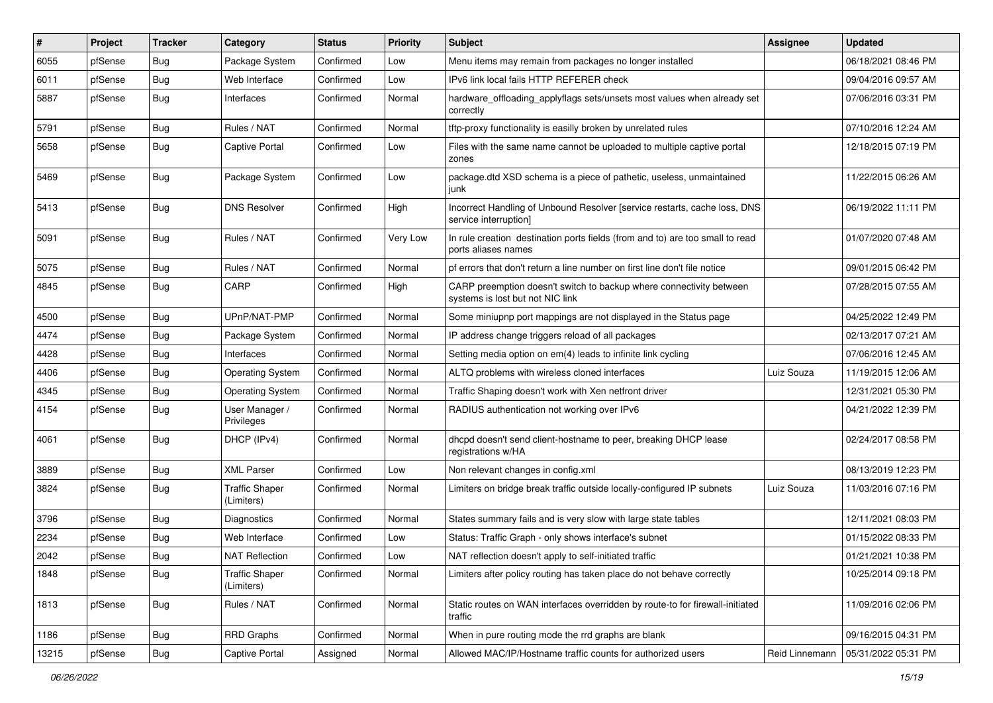| #     | Project | <b>Tracker</b> | Category                            | <b>Status</b> | <b>Priority</b> | Subject                                                                                                 | <b>Assignee</b> | <b>Updated</b>      |
|-------|---------|----------------|-------------------------------------|---------------|-----------------|---------------------------------------------------------------------------------------------------------|-----------------|---------------------|
| 6055  | pfSense | Bug            | Package System                      | Confirmed     | Low             | Menu items may remain from packages no longer installed                                                 |                 | 06/18/2021 08:46 PM |
| 6011  | pfSense | <b>Bug</b>     | Web Interface                       | Confirmed     | Low             | IPv6 link local fails HTTP REFERER check                                                                |                 | 09/04/2016 09:57 AM |
| 5887  | pfSense | Bug            | Interfaces                          | Confirmed     | Normal          | hardware_offloading_applyflags sets/unsets most values when already set<br>correctly                    |                 | 07/06/2016 03:31 PM |
| 5791  | pfSense | Bug            | Rules / NAT                         | Confirmed     | Normal          | tftp-proxy functionality is easilly broken by unrelated rules                                           |                 | 07/10/2016 12:24 AM |
| 5658  | pfSense | Bug            | Captive Portal                      | Confirmed     | Low             | Files with the same name cannot be uploaded to multiple captive portal<br>zones                         |                 | 12/18/2015 07:19 PM |
| 5469  | pfSense | <b>Bug</b>     | Package System                      | Confirmed     | Low             | package.dtd XSD schema is a piece of pathetic, useless, unmaintained<br>junk                            |                 | 11/22/2015 06:26 AM |
| 5413  | pfSense | Bug            | <b>DNS Resolver</b>                 | Confirmed     | High            | Incorrect Handling of Unbound Resolver [service restarts, cache loss, DNS<br>service interruption]      |                 | 06/19/2022 11:11 PM |
| 5091  | pfSense | Bug            | Rules / NAT                         | Confirmed     | Very Low        | In rule creation destination ports fields (from and to) are too small to read<br>ports aliases names    |                 | 01/07/2020 07:48 AM |
| 5075  | pfSense | Bug            | Rules / NAT                         | Confirmed     | Normal          | pf errors that don't return a line number on first line don't file notice                               |                 | 09/01/2015 06:42 PM |
| 4845  | pfSense | <b>Bug</b>     | CARP                                | Confirmed     | High            | CARP preemption doesn't switch to backup where connectivity between<br>systems is lost but not NIC link |                 | 07/28/2015 07:55 AM |
| 4500  | pfSense | <b>Bug</b>     | UPnP/NAT-PMP                        | Confirmed     | Normal          | Some miniupnp port mappings are not displayed in the Status page                                        |                 | 04/25/2022 12:49 PM |
| 4474  | pfSense | <b>Bug</b>     | Package System                      | Confirmed     | Normal          | IP address change triggers reload of all packages                                                       |                 | 02/13/2017 07:21 AM |
| 4428  | pfSense | <b>Bug</b>     | Interfaces                          | Confirmed     | Normal          | Setting media option on em(4) leads to infinite link cycling                                            |                 | 07/06/2016 12:45 AM |
| 4406  | pfSense | <b>Bug</b>     | <b>Operating System</b>             | Confirmed     | Normal          | ALTQ problems with wireless cloned interfaces                                                           | Luiz Souza      | 11/19/2015 12:06 AM |
| 4345  | pfSense | <b>Bug</b>     | <b>Operating System</b>             | Confirmed     | Normal          | Traffic Shaping doesn't work with Xen netfront driver                                                   |                 | 12/31/2021 05:30 PM |
| 4154  | pfSense | <b>Bug</b>     | User Manager /<br>Privileges        | Confirmed     | Normal          | RADIUS authentication not working over IPv6                                                             |                 | 04/21/2022 12:39 PM |
| 4061  | pfSense | <b>Bug</b>     | DHCP (IPv4)                         | Confirmed     | Normal          | dhcpd doesn't send client-hostname to peer, breaking DHCP lease<br>registrations w/HA                   |                 | 02/24/2017 08:58 PM |
| 3889  | pfSense | <b>Bug</b>     | <b>XML Parser</b>                   | Confirmed     | Low             | Non relevant changes in config.xml                                                                      |                 | 08/13/2019 12:23 PM |
| 3824  | pfSense | Bug            | <b>Traffic Shaper</b><br>(Limiters) | Confirmed     | Normal          | Limiters on bridge break traffic outside locally-configured IP subnets                                  | Luiz Souza      | 11/03/2016 07:16 PM |
| 3796  | pfSense | <b>Bug</b>     | Diagnostics                         | Confirmed     | Normal          | States summary fails and is very slow with large state tables                                           |                 | 12/11/2021 08:03 PM |
| 2234  | pfSense | Bug            | Web Interface                       | Confirmed     | Low             | Status: Traffic Graph - only shows interface's subnet                                                   |                 | 01/15/2022 08:33 PM |
| 2042  | pfSense | Bug            | <b>NAT Reflection</b>               | Confirmed     | Low             | NAT reflection doesn't apply to self-initiated traffic                                                  |                 | 01/21/2021 10:38 PM |
| 1848  | pfSense | Bug            | <b>Traffic Shaper</b><br>(Limiters) | Confirmed     | Normal          | Limiters after policy routing has taken place do not behave correctly                                   |                 | 10/25/2014 09:18 PM |
| 1813  | pfSense | <b>Bug</b>     | Rules / NAT                         | Confirmed     | Normal          | Static routes on WAN interfaces overridden by route-to for firewall-initiated<br>traffic                |                 | 11/09/2016 02:06 PM |
| 1186  | pfSense | <b>Bug</b>     | <b>RRD Graphs</b>                   | Confirmed     | Normal          | When in pure routing mode the rrd graphs are blank                                                      |                 | 09/16/2015 04:31 PM |
| 13215 | pfSense | <b>Bug</b>     | Captive Portal                      | Assigned      | Normal          | Allowed MAC/IP/Hostname traffic counts for authorized users                                             | Reid Linnemann  | 05/31/2022 05:31 PM |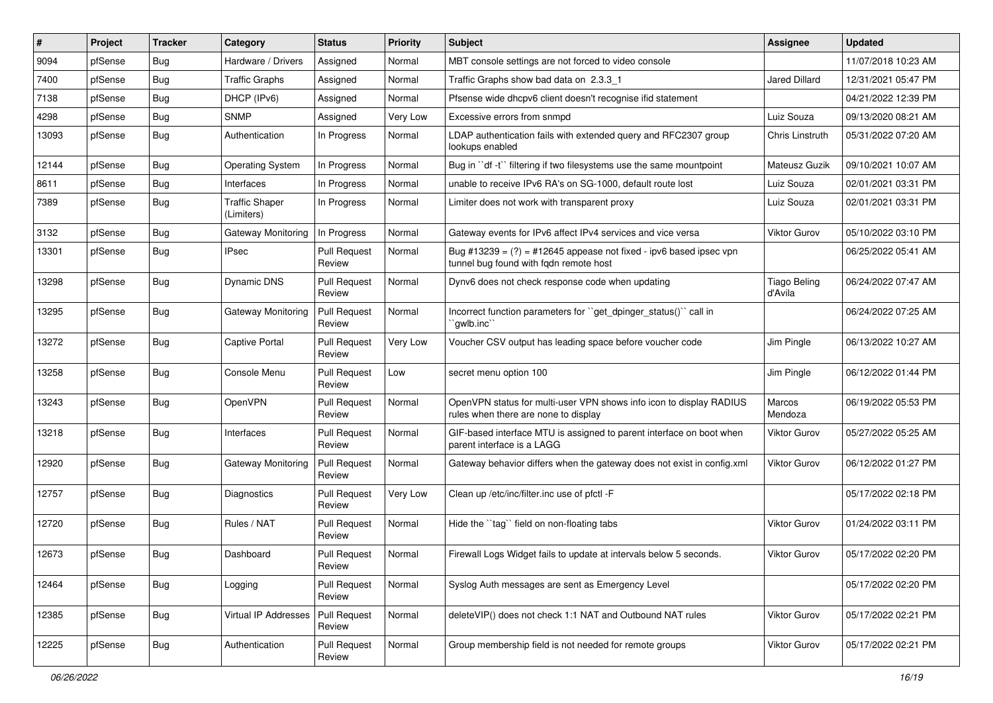| #     | Project | <b>Tracker</b> | Category                            | <b>Status</b>                 | <b>Priority</b> | <b>Subject</b>                                                                                                 | <b>Assignee</b>                | <b>Updated</b>      |
|-------|---------|----------------|-------------------------------------|-------------------------------|-----------------|----------------------------------------------------------------------------------------------------------------|--------------------------------|---------------------|
| 9094  | pfSense | <b>Bug</b>     | Hardware / Drivers                  | Assigned                      | Normal          | MBT console settings are not forced to video console                                                           |                                | 11/07/2018 10:23 AM |
| 7400  | pfSense | <b>Bug</b>     | <b>Traffic Graphs</b>               | Assigned                      | Normal          | Traffic Graphs show bad data on 2.3.3 1                                                                        | <b>Jared Dillard</b>           | 12/31/2021 05:47 PM |
| 7138  | pfSense | <b>Bug</b>     | DHCP (IPv6)                         | Assigned                      | Normal          | Pfsense wide dhcpv6 client doesn't recognise ifid statement                                                    |                                | 04/21/2022 12:39 PM |
| 4298  | pfSense | <b>Bug</b>     | <b>SNMP</b>                         | Assigned                      | Very Low        | Excessive errors from snmpd                                                                                    | Luiz Souza                     | 09/13/2020 08:21 AM |
| 13093 | pfSense | Bug            | Authentication                      | In Progress                   | Normal          | LDAP authentication fails with extended query and RFC2307 group<br>lookups enabled                             | <b>Chris Linstruth</b>         | 05/31/2022 07:20 AM |
| 12144 | pfSense | <b>Bug</b>     | <b>Operating System</b>             | In Progress                   | Normal          | Bug in "df -t" filtering if two filesystems use the same mountpoint                                            | Mateusz Guzik                  | 09/10/2021 10:07 AM |
| 8611  | pfSense | <b>Bug</b>     | Interfaces                          | In Progress                   | Normal          | unable to receive IPv6 RA's on SG-1000, default route lost                                                     | Luiz Souza                     | 02/01/2021 03:31 PM |
| 7389  | pfSense | <b>Bug</b>     | <b>Traffic Shaper</b><br>(Limiters) | In Progress                   | Normal          | Limiter does not work with transparent proxy                                                                   | Luiz Souza                     | 02/01/2021 03:31 PM |
| 3132  | pfSense | <b>Bug</b>     | Gateway Monitoring                  | In Progress                   | Normal          | Gateway events for IPv6 affect IPv4 services and vice versa                                                    | Viktor Gurov                   | 05/10/2022 03:10 PM |
| 13301 | pfSense | Bug            | <b>IPsec</b>                        | <b>Pull Request</b><br>Review | Normal          | Bug #13239 = $(?)$ = #12645 appease not fixed - ipv6 based ipsec vpn<br>tunnel bug found with fqdn remote host |                                | 06/25/2022 05:41 AM |
| 13298 | pfSense | <b>Bug</b>     | Dynamic DNS                         | <b>Pull Request</b><br>Review | Normal          | Dynv6 does not check response code when updating                                                               | <b>Tiago Beling</b><br>d'Avila | 06/24/2022 07:47 AM |
| 13295 | pfSense | <b>Bug</b>     | <b>Gateway Monitoring</b>           | Pull Request<br>Review        | Normal          | Incorrect function parameters for "get_dpinger_status()" call in<br>`qwlb.inc``                                |                                | 06/24/2022 07:25 AM |
| 13272 | pfSense | <b>Bug</b>     | Captive Portal                      | <b>Pull Request</b><br>Review | Very Low        | Voucher CSV output has leading space before voucher code                                                       | Jim Pingle                     | 06/13/2022 10:27 AM |
| 13258 | pfSense | <b>Bug</b>     | Console Menu                        | <b>Pull Request</b><br>Review | Low             | secret menu option 100                                                                                         | Jim Pingle                     | 06/12/2022 01:44 PM |
| 13243 | pfSense | <b>Bug</b>     | OpenVPN                             | <b>Pull Request</b><br>Review | Normal          | OpenVPN status for multi-user VPN shows info icon to display RADIUS<br>rules when there are none to display    | Marcos<br>Mendoza              | 06/19/2022 05:53 PM |
| 13218 | pfSense | <b>Bug</b>     | Interfaces                          | <b>Pull Request</b><br>Review | Normal          | GIF-based interface MTU is assigned to parent interface on boot when<br>parent interface is a LAGG             | Viktor Gurov                   | 05/27/2022 05:25 AM |
| 12920 | pfSense | <b>Bug</b>     | <b>Gateway Monitoring</b>           | <b>Pull Request</b><br>Review | Normal          | Gateway behavior differs when the gateway does not exist in config.xml                                         | <b>Viktor Gurov</b>            | 06/12/2022 01:27 PM |
| 12757 | pfSense | <b>Bug</b>     | Diagnostics                         | <b>Pull Request</b><br>Review | Very Low        | Clean up /etc/inc/filter.inc use of pfctl -F                                                                   |                                | 05/17/2022 02:18 PM |
| 12720 | pfSense | <b>Bug</b>     | Rules / NAT                         | <b>Pull Request</b><br>Review | Normal          | Hide the "tag" field on non-floating tabs                                                                      | <b>Viktor Gurov</b>            | 01/24/2022 03:11 PM |
| 12673 | pfSense | <b>Bug</b>     | Dashboard                           | <b>Pull Request</b><br>Review | Normal          | Firewall Logs Widget fails to update at intervals below 5 seconds.                                             | <b>Viktor Gurov</b>            | 05/17/2022 02:20 PM |
| 12464 | pfSense | <b>Bug</b>     | Logging                             | <b>Pull Request</b><br>Review | Normal          | Syslog Auth messages are sent as Emergency Level                                                               |                                | 05/17/2022 02:20 PM |
| 12385 | pfSense | <b>Bug</b>     | <b>Virtual IP Addresses</b>         | Pull Request<br>Review        | Normal          | deleteVIP() does not check 1:1 NAT and Outbound NAT rules                                                      | Viktor Gurov                   | 05/17/2022 02:21 PM |
| 12225 | pfSense | <b>Bug</b>     | Authentication                      | <b>Pull Request</b><br>Review | Normal          | Group membership field is not needed for remote groups                                                         | Viktor Gurov                   | 05/17/2022 02:21 PM |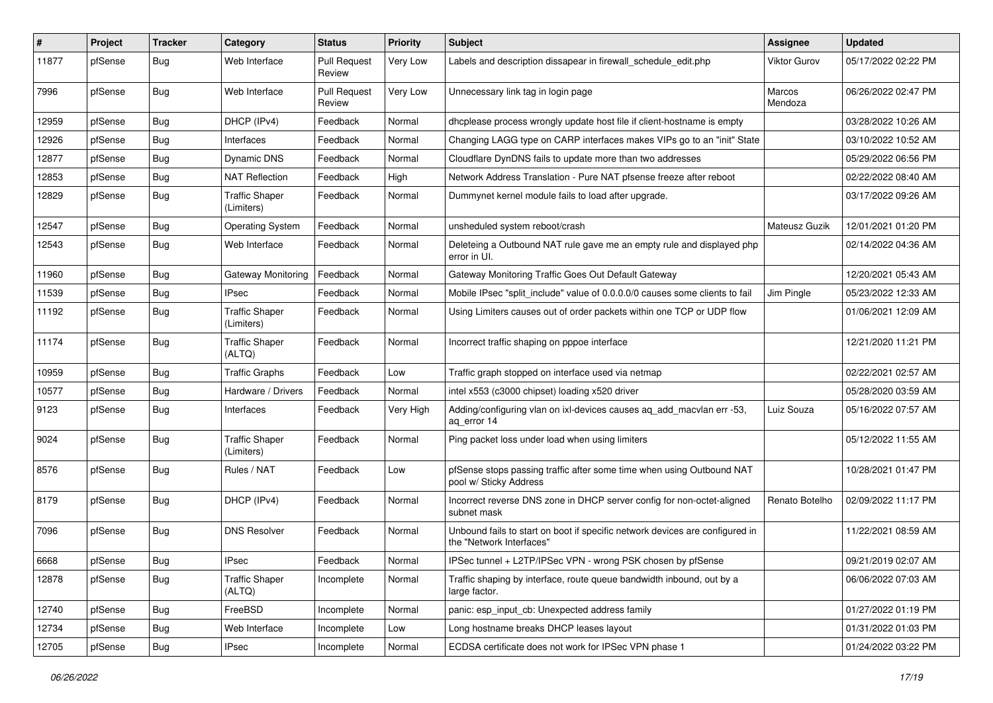| #     | Project | <b>Tracker</b> | Category                            | <b>Status</b>                 | <b>Priority</b> | <b>Subject</b>                                                                                           | <b>Assignee</b>     | <b>Updated</b>      |
|-------|---------|----------------|-------------------------------------|-------------------------------|-----------------|----------------------------------------------------------------------------------------------------------|---------------------|---------------------|
| 11877 | pfSense | Bug            | Web Interface                       | <b>Pull Request</b><br>Review | Very Low        | Labels and description dissapear in firewall schedule edit.php                                           | <b>Viktor Gurov</b> | 05/17/2022 02:22 PM |
| 7996  | pfSense | Bug            | Web Interface                       | <b>Pull Request</b><br>Review | Very Low        | Unnecessary link tag in login page                                                                       | Marcos<br>Mendoza   | 06/26/2022 02:47 PM |
| 12959 | pfSense | Bug            | DHCP (IPv4)                         | Feedback                      | Normal          | dhcplease process wrongly update host file if client-hostname is empty                                   |                     | 03/28/2022 10:26 AM |
| 12926 | pfSense | <b>Bug</b>     | Interfaces                          | Feedback                      | Normal          | Changing LAGG type on CARP interfaces makes VIPs go to an "init" State                                   |                     | 03/10/2022 10:52 AM |
| 12877 | pfSense | Bug            | <b>Dynamic DNS</b>                  | Feedback                      | Normal          | Cloudflare DynDNS fails to update more than two addresses                                                |                     | 05/29/2022 06:56 PM |
| 12853 | pfSense | Bug            | <b>NAT Reflection</b>               | Feedback                      | High            | Network Address Translation - Pure NAT pfsense freeze after reboot                                       |                     | 02/22/2022 08:40 AM |
| 12829 | pfSense | <b>Bug</b>     | <b>Traffic Shaper</b><br>(Limiters) | Feedback                      | Normal          | Dummynet kernel module fails to load after upgrade.                                                      |                     | 03/17/2022 09:26 AM |
| 12547 | pfSense | <b>Bug</b>     | <b>Operating System</b>             | Feedback                      | Normal          | unsheduled system reboot/crash                                                                           | Mateusz Guzik       | 12/01/2021 01:20 PM |
| 12543 | pfSense | <b>Bug</b>     | Web Interface                       | Feedback                      | Normal          | Deleteing a Outbound NAT rule gave me an empty rule and displayed php<br>error in UI.                    |                     | 02/14/2022 04:36 AM |
| 11960 | pfSense | <b>Bug</b>     | Gateway Monitoring                  | Feedback                      | Normal          | Gateway Monitoring Traffic Goes Out Default Gateway                                                      |                     | 12/20/2021 05:43 AM |
| 11539 | pfSense | <b>Bug</b>     | <b>IPsec</b>                        | Feedback                      | Normal          | Mobile IPsec "split include" value of 0.0.0.0/0 causes some clients to fail                              | Jim Pingle          | 05/23/2022 12:33 AM |
| 11192 | pfSense | <b>Bug</b>     | <b>Traffic Shaper</b><br>(Limiters) | Feedback                      | Normal          | Using Limiters causes out of order packets within one TCP or UDP flow                                    |                     | 01/06/2021 12:09 AM |
| 11174 | pfSense | <b>Bug</b>     | <b>Traffic Shaper</b><br>(ALTQ)     | Feedback                      | Normal          | Incorrect traffic shaping on pppoe interface                                                             |                     | 12/21/2020 11:21 PM |
| 10959 | pfSense | <b>Bug</b>     | <b>Traffic Graphs</b>               | Feedback                      | Low             | Traffic graph stopped on interface used via netmap                                                       |                     | 02/22/2021 02:57 AM |
| 10577 | pfSense | <b>Bug</b>     | Hardware / Drivers                  | Feedback                      | Normal          | intel x553 (c3000 chipset) loading x520 driver                                                           |                     | 05/28/2020 03:59 AM |
| 9123  | pfSense | <b>Bug</b>     | Interfaces                          | Feedback                      | Very High       | Adding/configuring vlan on ixl-devices causes aq_add_macvlan err -53,<br>ag error 14                     | Luiz Souza          | 05/16/2022 07:57 AM |
| 9024  | pfSense | <b>Bug</b>     | <b>Traffic Shaper</b><br>(Limiters) | Feedback                      | Normal          | Ping packet loss under load when using limiters                                                          |                     | 05/12/2022 11:55 AM |
| 8576  | pfSense | <b>Bug</b>     | Rules / NAT                         | Feedback                      | Low             | pfSense stops passing traffic after some time when using Outbound NAT<br>pool w/ Sticky Address          |                     | 10/28/2021 01:47 PM |
| 8179  | pfSense | <b>Bug</b>     | DHCP (IPv4)                         | Feedback                      | Normal          | Incorrect reverse DNS zone in DHCP server config for non-octet-aligned<br>subnet mask                    | Renato Botelho      | 02/09/2022 11:17 PM |
| 7096  | pfSense | <b>Bug</b>     | <b>DNS Resolver</b>                 | Feedback                      | Normal          | Unbound fails to start on boot if specific network devices are configured in<br>the "Network Interfaces" |                     | 11/22/2021 08:59 AM |
| 6668  | pfSense | i Bug          | <b>IPsec</b>                        | Feedback                      | Normal          | IPSec tunnel + L2TP/IPSec VPN - wrong PSK chosen by pfSense                                              |                     | 09/21/2019 02:07 AM |
| 12878 | pfSense | <b>Bug</b>     | <b>Traffic Shaper</b><br>(ALTQ)     | Incomplete                    | Normal          | Traffic shaping by interface, route queue bandwidth inbound, out by a<br>large factor.                   |                     | 06/06/2022 07:03 AM |
| 12740 | pfSense | <b>Bug</b>     | FreeBSD                             | Incomplete                    | Normal          | panic: esp_input_cb: Unexpected address family                                                           |                     | 01/27/2022 01:19 PM |
| 12734 | pfSense | <b>Bug</b>     | Web Interface                       | Incomplete                    | Low             | Long hostname breaks DHCP leases layout                                                                  |                     | 01/31/2022 01:03 PM |
| 12705 | pfSense | <b>Bug</b>     | <b>IPsec</b>                        | Incomplete                    | Normal          | ECDSA certificate does not work for IPSec VPN phase 1                                                    |                     | 01/24/2022 03:22 PM |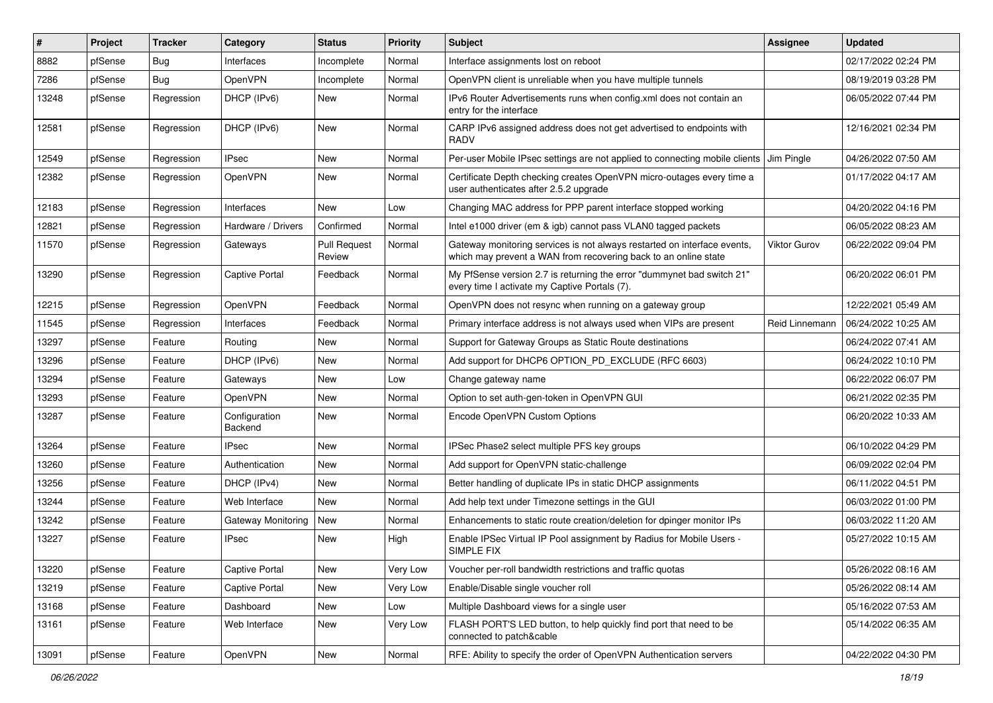| $\vert$ # | Project | <b>Tracker</b> | Category                 | <b>Status</b>                 | <b>Priority</b> | <b>Subject</b>                                                                                                                              | <b>Assignee</b>     | <b>Updated</b>      |
|-----------|---------|----------------|--------------------------|-------------------------------|-----------------|---------------------------------------------------------------------------------------------------------------------------------------------|---------------------|---------------------|
| 8882      | pfSense | <b>Bug</b>     | Interfaces               | Incomplete                    | Normal          | Interface assignments lost on reboot                                                                                                        |                     | 02/17/2022 02:24 PM |
| 7286      | pfSense | <b>Bug</b>     | <b>OpenVPN</b>           | Incomplete                    | Normal          | OpenVPN client is unreliable when you have multiple tunnels                                                                                 |                     | 08/19/2019 03:28 PM |
| 13248     | pfSense | Regression     | DHCP (IPv6)              | New                           | Normal          | IPv6 Router Advertisements runs when config.xml does not contain an<br>entry for the interface                                              |                     | 06/05/2022 07:44 PM |
| 12581     | pfSense | Regression     | DHCP (IPv6)              | New                           | Normal          | CARP IPv6 assigned address does not get advertised to endpoints with<br><b>RADV</b>                                                         |                     | 12/16/2021 02:34 PM |
| 12549     | pfSense | Regression     | <b>IPsec</b>             | New                           | Normal          | Per-user Mobile IPsec settings are not applied to connecting mobile clients Jim Pingle                                                      |                     | 04/26/2022 07:50 AM |
| 12382     | pfSense | Regression     | OpenVPN                  | New                           | Normal          | Certificate Depth checking creates OpenVPN micro-outages every time a<br>user authenticates after 2.5.2 upgrade                             |                     | 01/17/2022 04:17 AM |
| 12183     | pfSense | Regression     | Interfaces               | <b>New</b>                    | Low             | Changing MAC address for PPP parent interface stopped working                                                                               |                     | 04/20/2022 04:16 PM |
| 12821     | pfSense | Regression     | Hardware / Drivers       | Confirmed                     | Normal          | Intel e1000 driver (em & igb) cannot pass VLAN0 tagged packets                                                                              |                     | 06/05/2022 08:23 AM |
| 11570     | pfSense | Regression     | Gateways                 | <b>Pull Request</b><br>Review | Normal          | Gateway monitoring services is not always restarted on interface events,<br>which may prevent a WAN from recovering back to an online state | <b>Viktor Gurov</b> | 06/22/2022 09:04 PM |
| 13290     | pfSense | Regression     | Captive Portal           | Feedback                      | Normal          | My PfSense version 2.7 is returning the error "dummynet bad switch 21"<br>every time I activate my Captive Portals (7).                     |                     | 06/20/2022 06:01 PM |
| 12215     | pfSense | Regression     | OpenVPN                  | Feedback                      | Normal          | OpenVPN does not resync when running on a gateway group                                                                                     |                     | 12/22/2021 05:49 AM |
| 11545     | pfSense | Regression     | Interfaces               | Feedback                      | Normal          | Primary interface address is not always used when VIPs are present                                                                          | Reid Linnemann      | 06/24/2022 10:25 AM |
| 13297     | pfSense | Feature        | Routing                  | New                           | Normal          | Support for Gateway Groups as Static Route destinations                                                                                     |                     | 06/24/2022 07:41 AM |
| 13296     | pfSense | Feature        | DHCP (IPv6)              | New                           | Normal          | Add support for DHCP6 OPTION_PD_EXCLUDE (RFC 6603)                                                                                          |                     | 06/24/2022 10:10 PM |
| 13294     | pfSense | Feature        | Gateways                 | New                           | Low             | Change gateway name                                                                                                                         |                     | 06/22/2022 06:07 PM |
| 13293     | pfSense | Feature        | <b>OpenVPN</b>           | New                           | Normal          | Option to set auth-gen-token in OpenVPN GUI                                                                                                 |                     | 06/21/2022 02:35 PM |
| 13287     | pfSense | Feature        | Configuration<br>Backend | New                           | Normal          | Encode OpenVPN Custom Options                                                                                                               |                     | 06/20/2022 10:33 AM |
| 13264     | pfSense | Feature        | <b>IPsec</b>             | <b>New</b>                    | Normal          | IPSec Phase2 select multiple PFS key groups                                                                                                 |                     | 06/10/2022 04:29 PM |
| 13260     | pfSense | Feature        | Authentication           | New                           | Normal          | Add support for OpenVPN static-challenge                                                                                                    |                     | 06/09/2022 02:04 PM |
| 13256     | pfSense | Feature        | DHCP (IPv4)              | <b>New</b>                    | Normal          | Better handling of duplicate IPs in static DHCP assignments                                                                                 |                     | 06/11/2022 04:51 PM |
| 13244     | pfSense | Feature        | Web Interface            | New                           | Normal          | Add help text under Timezone settings in the GUI                                                                                            |                     | 06/03/2022 01:00 PM |
| 13242     | pfSense | Feature        | Gateway Monitoring       | New                           | Normal          | Enhancements to static route creation/deletion for dpinger monitor IPs                                                                      |                     | 06/03/2022 11:20 AM |
| 13227     | pfSense | Feature        | <b>IPsec</b>             | New                           | High            | Enable IPSec Virtual IP Pool assignment by Radius for Mobile Users -<br>SIMPLE FIX                                                          |                     | 05/27/2022 10:15 AM |
| 13220     | pfSense | Feature        | Captive Portal           | New                           | Very Low        | Voucher per-roll bandwidth restrictions and traffic quotas                                                                                  |                     | 05/26/2022 08:16 AM |
| 13219     | pfSense | Feature        | Captive Portal           | New                           | Very Low        | Enable/Disable single voucher roll                                                                                                          |                     | 05/26/2022 08:14 AM |
| 13168     | pfSense | Feature        | Dashboard                | New                           | Low             | Multiple Dashboard views for a single user                                                                                                  |                     | 05/16/2022 07:53 AM |
| 13161     | pfSense | Feature        | Web Interface            | New                           | Very Low        | FLASH PORT'S LED button, to help quickly find port that need to be<br>connected to patch&cable                                              |                     | 05/14/2022 06:35 AM |
| 13091     | pfSense | Feature        | OpenVPN                  | New                           | Normal          | RFE: Ability to specify the order of OpenVPN Authentication servers                                                                         |                     | 04/22/2022 04:30 PM |